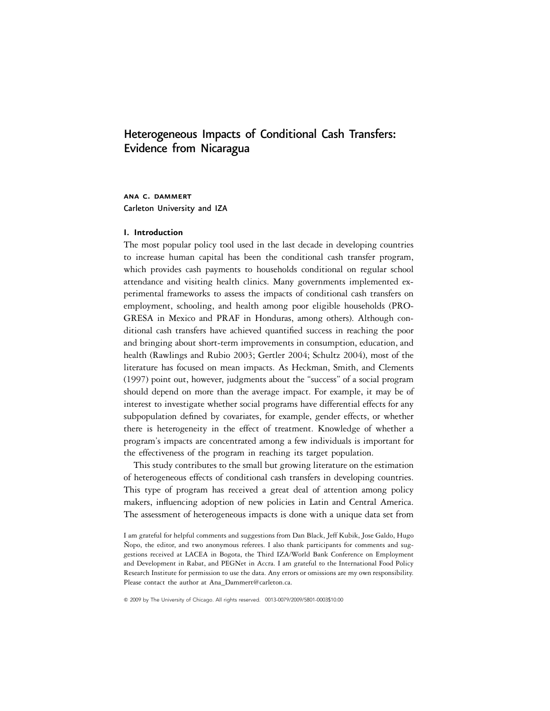# Heterogeneous Impacts of Conditional Cash Transfers: Evidence from Nicaragua

ana c. dammert Carleton University and IZA

# **I. Introduction**

The most popular policy tool used in the last decade in developing countries to increase human capital has been the conditional cash transfer program, which provides cash payments to households conditional on regular school attendance and visiting health clinics. Many governments implemented experimental frameworks to assess the impacts of conditional cash transfers on employment, schooling, and health among poor eligible households (PRO-GRESA in Mexico and PRAF in Honduras, among others). Although conditional cash transfers have achieved quantified success in reaching the poor and bringing about short-term improvements in consumption, education, and health (Rawlings and Rubio 2003; Gertler 2004; Schultz 2004), most of the literature has focused on mean impacts. As Heckman, Smith, and Clements (1997) point out, however, judgments about the "success" of a social program should depend on more than the average impact. For example, it may be of interest to investigate whether social programs have differential effects for any subpopulation defined by covariates, for example, gender effects, or whether there is heterogeneity in the effect of treatment. Knowledge of whether a program's impacts are concentrated among a few individuals is important for the effectiveness of the program in reaching its target population.

This study contributes to the small but growing literature on the estimation of heterogeneous effects of conditional cash transfers in developing countries. This type of program has received a great deal of attention among policy makers, influencing adoption of new policies in Latin and Central America. The assessment of heterogeneous impacts is done with a unique data set from

I am grateful for helpful comments and suggestions from Dan Black, Jeff Kubik, Jose Galdo, Hugo N˜ opo, the editor, and two anonymous referees. I also thank participants for comments and suggestions received at LACEA in Bogota, the Third IZA/World Bank Conference on Employment and Development in Rabat, and PEGNet in Accra. I am grateful to the International Food Policy Research Institute for permission to use the data. Any errors or omissions are my own responsibility. Please contact the author at Ana\_Dammert@carleton.ca.

2009 by The University of Chicago. All rights reserved. 0013-0079/2009/5801-0003\$10.00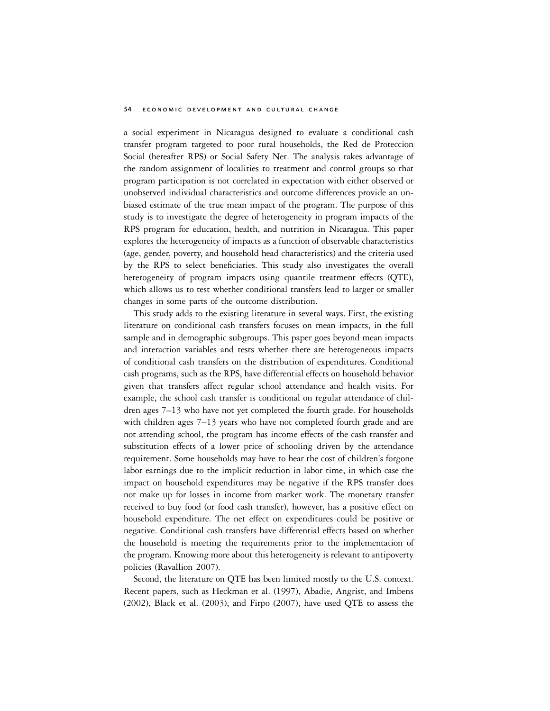a social experiment in Nicaragua designed to evaluate a conditional cash transfer program targeted to poor rural households, the Red de Proteccion Social (hereafter RPS) or Social Safety Net. The analysis takes advantage of the random assignment of localities to treatment and control groups so that program participation is not correlated in expectation with either observed or unobserved individual characteristics and outcome differences provide an unbiased estimate of the true mean impact of the program. The purpose of this study is to investigate the degree of heterogeneity in program impacts of the RPS program for education, health, and nutrition in Nicaragua. This paper explores the heterogeneity of impacts as a function of observable characteristics (age, gender, poverty, and household head characteristics) and the criteria used by the RPS to select beneficiaries. This study also investigates the overall heterogeneity of program impacts using quantile treatment effects (QTE), which allows us to test whether conditional transfers lead to larger or smaller changes in some parts of the outcome distribution.

This study adds to the existing literature in several ways. First, the existing literature on conditional cash transfers focuses on mean impacts, in the full sample and in demographic subgroups. This paper goes beyond mean impacts and interaction variables and tests whether there are heterogeneous impacts of conditional cash transfers on the distribution of expenditures. Conditional cash programs, such as the RPS, have differential effects on household behavior given that transfers affect regular school attendance and health visits. For example, the school cash transfer is conditional on regular attendance of children ages 7–13 who have not yet completed the fourth grade. For households with children ages 7–13 years who have not completed fourth grade and are not attending school, the program has income effects of the cash transfer and substitution effects of a lower price of schooling driven by the attendance requirement. Some households may have to bear the cost of children's forgone labor earnings due to the implicit reduction in labor time, in which case the impact on household expenditures may be negative if the RPS transfer does not make up for losses in income from market work. The monetary transfer received to buy food (or food cash transfer), however, has a positive effect on household expenditure. The net effect on expenditures could be positive or negative. Conditional cash transfers have differential effects based on whether the household is meeting the requirements prior to the implementation of the program. Knowing more about this heterogeneity is relevant to antipoverty policies (Ravallion 2007).

Second, the literature on QTE has been limited mostly to the U.S. context. Recent papers, such as Heckman et al. (1997), Abadie, Angrist, and Imbens (2002), Black et al. (2003), and Firpo (2007), have used QTE to assess the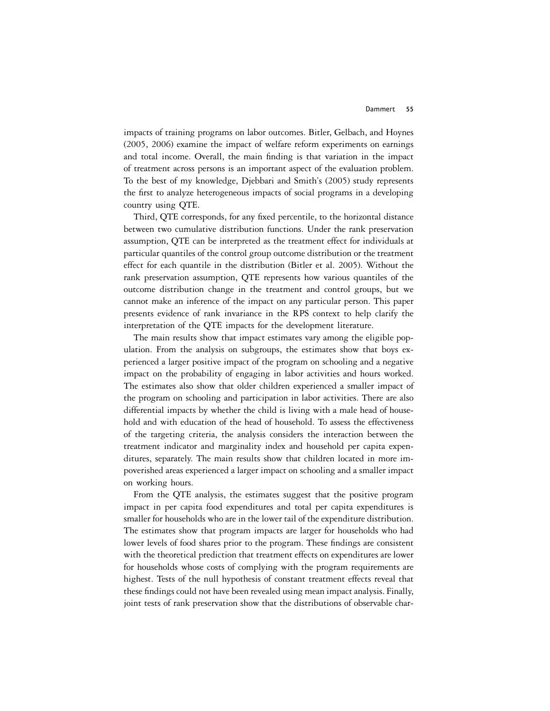impacts of training programs on labor outcomes. Bitler, Gelbach, and Hoynes (2005, 2006) examine the impact of welfare reform experiments on earnings and total income. Overall, the main finding is that variation in the impact of treatment across persons is an important aspect of the evaluation problem. To the best of my knowledge, Djebbari and Smith's (2005) study represents the first to analyze heterogeneous impacts of social programs in a developing country using QTE.

Third, QTE corresponds, for any fixed percentile, to the horizontal distance between two cumulative distribution functions. Under the rank preservation assumption, QTE can be interpreted as the treatment effect for individuals at particular quantiles of the control group outcome distribution or the treatment effect for each quantile in the distribution (Bitler et al. 2005). Without the rank preservation assumption, QTE represents how various quantiles of the outcome distribution change in the treatment and control groups, but we cannot make an inference of the impact on any particular person. This paper presents evidence of rank invariance in the RPS context to help clarify the interpretation of the QTE impacts for the development literature.

The main results show that impact estimates vary among the eligible population. From the analysis on subgroups, the estimates show that boys experienced a larger positive impact of the program on schooling and a negative impact on the probability of engaging in labor activities and hours worked. The estimates also show that older children experienced a smaller impact of the program on schooling and participation in labor activities. There are also differential impacts by whether the child is living with a male head of household and with education of the head of household. To assess the effectiveness of the targeting criteria, the analysis considers the interaction between the treatment indicator and marginality index and household per capita expenditures, separately. The main results show that children located in more impoverished areas experienced a larger impact on schooling and a smaller impact on working hours.

From the QTE analysis, the estimates suggest that the positive program impact in per capita food expenditures and total per capita expenditures is smaller for households who are in the lower tail of the expenditure distribution. The estimates show that program impacts are larger for households who had lower levels of food shares prior to the program. These findings are consistent with the theoretical prediction that treatment effects on expenditures are lower for households whose costs of complying with the program requirements are highest. Tests of the null hypothesis of constant treatment effects reveal that these findings could not have been revealed using mean impact analysis. Finally, joint tests of rank preservation show that the distributions of observable char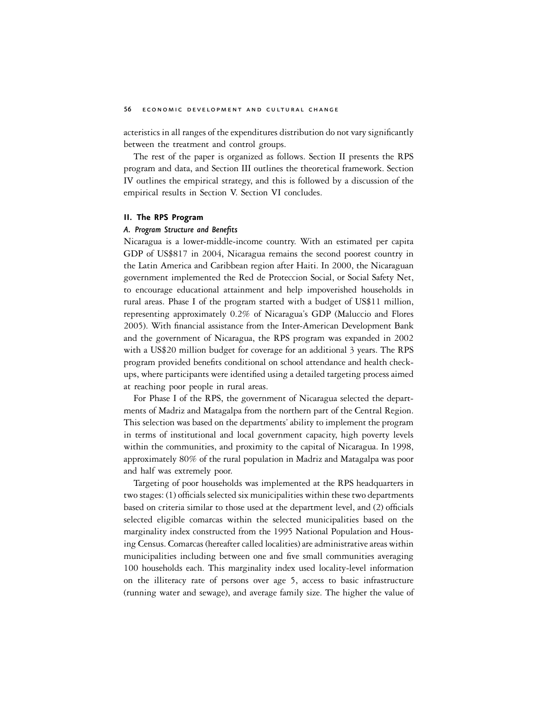acteristics in all ranges of the expenditures distribution do not vary significantly between the treatment and control groups.

The rest of the paper is organized as follows. Section II presents the RPS program and data, and Section III outlines the theoretical framework. Section IV outlines the empirical strategy, and this is followed by a discussion of the empirical results in Section V. Section VI concludes.

# **II. The RPS Program**

## *A. Program Structure and Benefits*

Nicaragua is a lower-middle-income country. With an estimated per capita GDP of US\$817 in 2004, Nicaragua remains the second poorest country in the Latin America and Caribbean region after Haiti. In 2000, the Nicaraguan government implemented the Red de Proteccion Social, or Social Safety Net, to encourage educational attainment and help impoverished households in rural areas. Phase I of the program started with a budget of US\$11 million, representing approximately 0.2% of Nicaragua's GDP (Maluccio and Flores 2005). With financial assistance from the Inter-American Development Bank and the government of Nicaragua, the RPS program was expanded in 2002 with a US\$20 million budget for coverage for an additional 3 years. The RPS program provided benefits conditional on school attendance and health checkups, where participants were identified using a detailed targeting process aimed at reaching poor people in rural areas.

For Phase I of the RPS, the government of Nicaragua selected the departments of Madriz and Matagalpa from the northern part of the Central Region. This selection was based on the departments' ability to implement the program in terms of institutional and local government capacity, high poverty levels within the communities, and proximity to the capital of Nicaragua. In 1998, approximately 80% of the rural population in Madriz and Matagalpa was poor and half was extremely poor.

Targeting of poor households was implemented at the RPS headquarters in two stages: (1) officials selected six municipalities within these two departments based on criteria similar to those used at the department level, and (2) officials selected eligible comarcas within the selected municipalities based on the marginality index constructed from the 1995 National Population and Housing Census. Comarcas (hereafter called localities) are administrative areas within municipalities including between one and five small communities averaging 100 households each. This marginality index used locality-level information on the illiteracy rate of persons over age 5, access to basic infrastructure (running water and sewage), and average family size. The higher the value of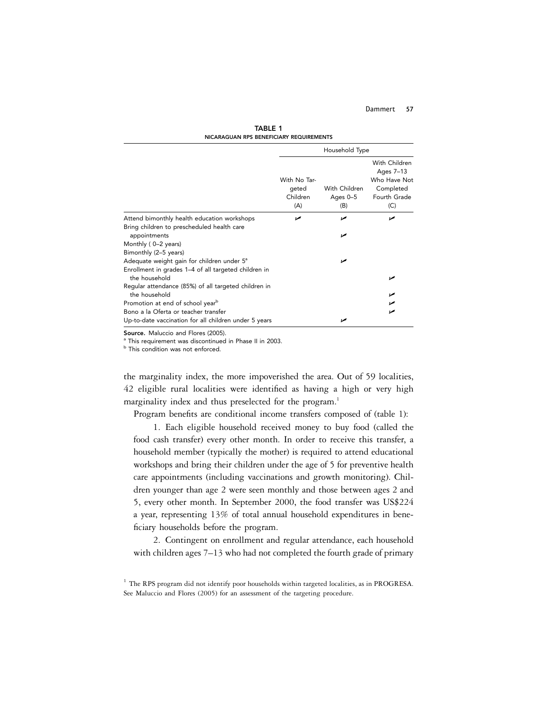### Dammert 57

| NICARAGUAN RPS BENEFICIARY REQUIREMENTS                                                                                                       |                                          |                                  |                                                                                |
|-----------------------------------------------------------------------------------------------------------------------------------------------|------------------------------------------|----------------------------------|--------------------------------------------------------------------------------|
|                                                                                                                                               |                                          | Household Type                   |                                                                                |
|                                                                                                                                               | With No Tar-<br>geted<br>Children<br>(A) | With Children<br>Ages 0-5<br>(B) | With Children<br>Ages 7-13<br>Who Have Not<br>Completed<br>Fourth Grade<br>(C) |
| Attend bimonthly health education workshops<br>Bring children to prescheduled health care<br>appointments                                     | ممن                                      | مما                              |                                                                                |
| Monthly (0-2 years)<br>Bimonthly (2-5 years)                                                                                                  |                                          |                                  |                                                                                |
| Adequate weight gain for children under 5 <sup>ª</sup><br>Enrollment in grades 1–4 of all targeted children in<br>the household               |                                          | مما                              | مم                                                                             |
| Regular attendance (85%) of all targeted children in<br>the household                                                                         |                                          |                                  |                                                                                |
| Promotion at end of school year <sup>b</sup><br>Bono a la Oferta or teacher transfer<br>Up-to-date vaccination for all children under 5 years |                                          | مما                              |                                                                                |

TABLE 1

Source. Maluccio and Flores (2005).

This requirement was discontinued in Phase II in 2003.

**b** This condition was not enforced.

the marginality index, the more impoverished the area. Out of 59 localities, 42 eligible rural localities were identified as having a high or very high marginality index and thus preselected for the program.<sup>1</sup>

Program benefits are conditional income transfers composed of (table 1):

1. Each eligible household received money to buy food (called the food cash transfer) every other month. In order to receive this transfer, a household member (typically the mother) is required to attend educational workshops and bring their children under the age of 5 for preventive health care appointments (including vaccinations and growth monitoring). Children younger than age 2 were seen monthly and those between ages 2 and 5, every other month. In September 2000, the food transfer was US\$224 a year, representing 13% of total annual household expenditures in beneficiary households before the program.

2. Contingent on enrollment and regular attendance, each household with children ages 7–13 who had not completed the fourth grade of primary

 $<sup>1</sup>$  The RPS program did not identify poor households within targeted localities, as in PROGRESA.</sup> See Maluccio and Flores (2005) for an assessment of the targeting procedure.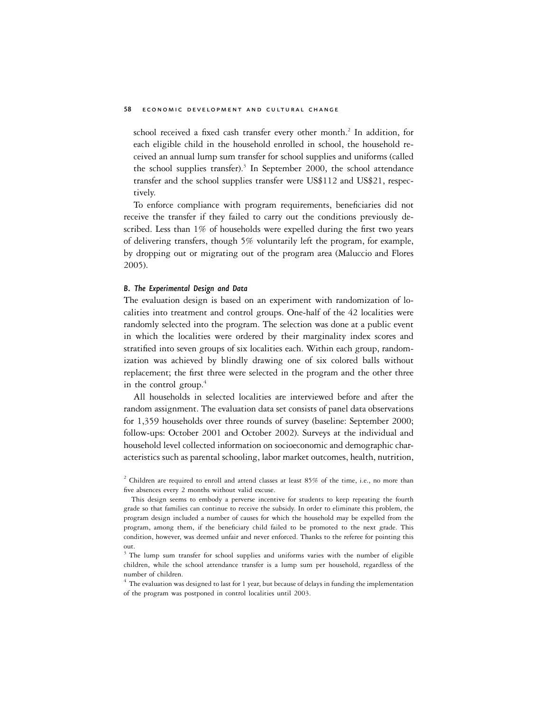school received a fixed cash transfer every other month.<sup>2</sup> In addition, for each eligible child in the household enrolled in school, the household received an annual lump sum transfer for school supplies and uniforms (called the school supplies transfer).<sup>3</sup> In September 2000, the school attendance transfer and the school supplies transfer were US\$112 and US\$21, respectively.

To enforce compliance with program requirements, beneficiaries did not receive the transfer if they failed to carry out the conditions previously described. Less than 1% of households were expelled during the first two years of delivering transfers, though 5% voluntarily left the program, for example, by dropping out or migrating out of the program area (Maluccio and Flores 2005).

# *B. The Experimental Design and Data*

The evaluation design is based on an experiment with randomization of localities into treatment and control groups. One-half of the 42 localities were randomly selected into the program. The selection was done at a public event in which the localities were ordered by their marginality index scores and stratified into seven groups of six localities each. Within each group, randomization was achieved by blindly drawing one of six colored balls without replacement; the first three were selected in the program and the other three in the control group.<sup>4</sup>

All households in selected localities are interviewed before and after the random assignment. The evaluation data set consists of panel data observations for 1,359 households over three rounds of survey (baseline: September 2000; follow-ups: October 2001 and October 2002). Surveys at the individual and household level collected information on socioeconomic and demographic characteristics such as parental schooling, labor market outcomes, health, nutrition,

<sup>&</sup>lt;sup>2</sup> Children are required to enroll and attend classes at least 85% of the time, i.e., no more than five absences every 2 months without valid excuse.

This design seems to embody a perverse incentive for students to keep repeating the fourth grade so that families can continue to receive the subsidy. In order to eliminate this problem, the program design included a number of causes for which the household may be expelled from the program, among them, if the beneficiary child failed to be promoted to the next grade. This condition, however, was deemed unfair and never enforced. Thanks to the referee for pointing this out.

<sup>&</sup>lt;sup>3</sup> The lump sum transfer for school supplies and uniforms varies with the number of eligible children, while the school attendance transfer is a lump sum per household, regardless of the number of children.

 $4$  The evaluation was designed to last for 1 year, but because of delays in funding the implementation of the program was postponed in control localities until 2003.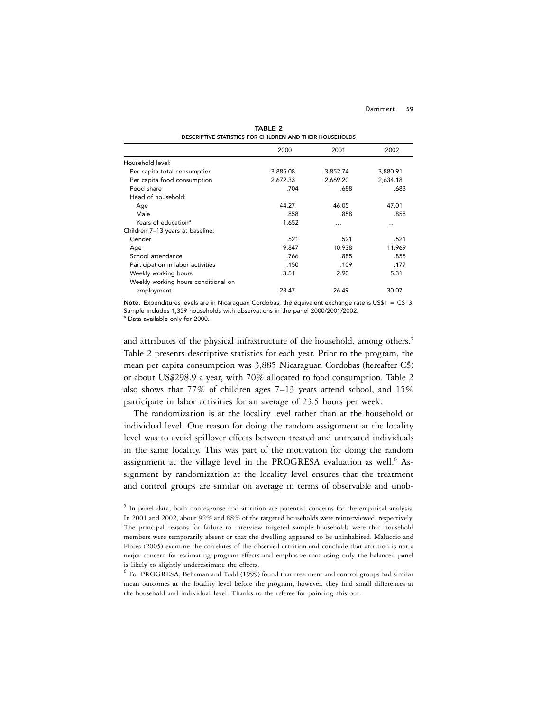| DESCRIPTIVE STATISTICS FOR CHILDREN AND THEIR HOUSEHOLDS |          |          |          |
|----------------------------------------------------------|----------|----------|----------|
|                                                          | 2000     | 2001     | 2002     |
| Household level:                                         |          |          |          |
| Per capita total consumption                             | 3,885.08 | 3,852.74 | 3,880.91 |
| Per capita food consumption                              | 2,672.33 | 2,669.20 | 2.634.18 |
| Food share                                               | .704     | .688     | .683     |
| Head of household:                                       |          |          |          |
| Age                                                      | 44.27    | 46.05    | 47.01    |
| Male                                                     | .858     | .858     | .858     |
| Years of education <sup>a</sup>                          | 1.652    | .        | .        |
| Children 7-13 years at baseline:                         |          |          |          |
| Gender                                                   | .521     | .521     | .521     |
| Age                                                      | 9.847    | 10.938   | 11.969   |
| School attendance                                        | .766     | .885     | .855     |
| Participation in labor activities                        | .150     | .109     | .177     |
| Weekly working hours                                     | 3.51     | 2.90     | 5.31     |
| Weekly working hours conditional on                      |          |          |          |
| employment                                               | 23.47    | 26.49    | 30.07    |

TABLE 2

Note. Expenditures levels are in Nicaraguan Cordobas; the equivalent exchange rate is US\$1 =  $C$13.$ Sample includes 1,359 households with observations in the panel 2000/2001/2002.

<sup>a</sup> Data available only for 2000.

and attributes of the physical infrastructure of the household, among others.<sup>5</sup> Table 2 presents descriptive statistics for each year. Prior to the program, the mean per capita consumption was 3,885 Nicaraguan Cordobas (hereafter C\$) or about US\$298.9 a year, with 70% allocated to food consumption. Table 2 also shows that 77% of children ages 7–13 years attend school, and 15% participate in labor activities for an average of 23.5 hours per week.

The randomization is at the locality level rather than at the household or individual level. One reason for doing the random assignment at the locality level was to avoid spillover effects between treated and untreated individuals in the same locality. This was part of the motivation for doing the random assignment at the village level in the PROGRESA evaluation as well.<sup>6</sup> Assignment by randomization at the locality level ensures that the treatment and control groups are similar on average in terms of observable and unob-

<sup>&</sup>lt;sup>5</sup> In panel data, both nonresponse and attrition are potential concerns for the empirical analysis. In 2001 and 2002, about 92% and 88% of the targeted households were reinterviewed, respectively. The principal reasons for failure to interview targeted sample households were that household members were temporarily absent or that the dwelling appeared to be uninhabited. Maluccio and Flores (2005) examine the correlates of the observed attrition and conclude that attrition is not a major concern for estimating program effects and emphasize that using only the balanced panel is likely to slightly underestimate the effects.

 $6$  For PROGRESA, Behrman and Todd (1999) found that treatment and control groups had similar mean outcomes at the locality level before the program; however, they find small differences at the household and individual level. Thanks to the referee for pointing this out.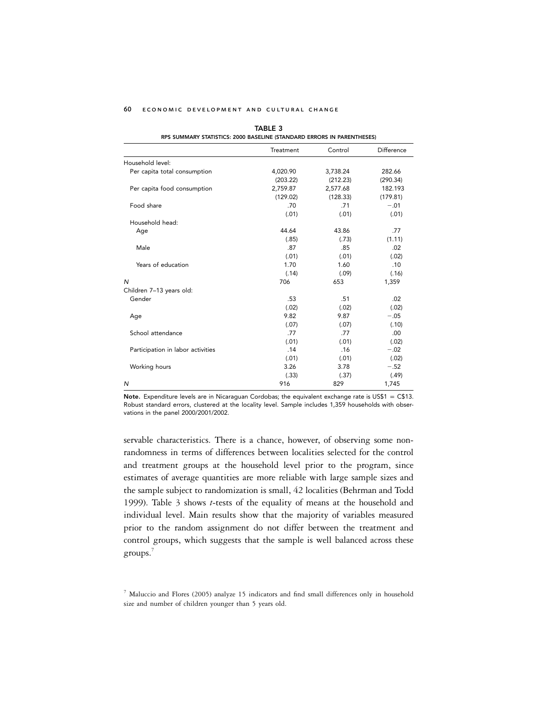|                                   | TABLE 3<br>RPS SUMMARY STATISTICS: 2000 BASELINE (STANDARD ERRORS IN PARENTHESES) |          |            |  |  |
|-----------------------------------|-----------------------------------------------------------------------------------|----------|------------|--|--|
|                                   | Treatment                                                                         | Control  | Difference |  |  |
| Household level:                  |                                                                                   |          |            |  |  |
| Per capita total consumption      | 4,020.90                                                                          | 3,738.24 | 282.66     |  |  |
|                                   | (203.22)                                                                          | (212.23) | (290.34)   |  |  |
| Per capita food consumption       | 2,759.87                                                                          | 2,577.68 | 182.193    |  |  |
|                                   | (129.02)                                                                          | (128.33) | (179.81)   |  |  |
| Food share                        | .70                                                                               | .71      | $-.01$     |  |  |
|                                   | (.01)                                                                             | (.01)    | (.01)      |  |  |
| Household head:                   |                                                                                   |          |            |  |  |
| Age                               | 44.64                                                                             | 43.86    | .77        |  |  |
|                                   | (.85)                                                                             | (.73)    | (1.11)     |  |  |
| Male                              | .87                                                                               | .85      | .02        |  |  |
|                                   | (.01)                                                                             | (.01)    | (.02)      |  |  |
| Years of education                | 1.70                                                                              | 1.60     | .10        |  |  |
|                                   | (.14)                                                                             | (.09)    | (.16)      |  |  |
| N                                 | 706                                                                               | 653      | 1,359      |  |  |
| Children 7-13 years old:          |                                                                                   |          |            |  |  |
| Gender                            | .53                                                                               | .51      | .02        |  |  |
|                                   | (.02)                                                                             | (.02)    | (.02)      |  |  |
| Age                               | 9.82                                                                              | 9.87     | $-.05$     |  |  |
|                                   | (.07)                                                                             | (.07)    | (.10)      |  |  |
| School attendance                 | .77                                                                               | .77      | .00        |  |  |
|                                   | (.01)                                                                             | (.01)    | (.02)      |  |  |
| Participation in labor activities | .14                                                                               | .16      | $-.02$     |  |  |
| Working hours                     | (.01)                                                                             | (.01)    | (.02)      |  |  |
|                                   | 3.26                                                                              | 3.78     | $-.52$     |  |  |
| N                                 | (.33)                                                                             | (.37)    | (.49)      |  |  |
|                                   | 916                                                                               | 829      | 1,745      |  |  |

Note. Expenditure levels are in Nicaraguan Cordobas; the equivalent exchange rate is  $USS1 = C$13.$ Robust standard errors, clustered at the locality level. Sample includes 1,359 households with observations in the panel 2000/2001/2002.

servable characteristics. There is a chance, however, of observing some nonrandomness in terms of differences between localities selected for the control and treatment groups at the household level prior to the program, since estimates of average quantities are more reliable with large sample sizes and the sample subject to randomization is small, 42 localities (Behrman and Todd 1999). Table 3 shows *t*-tests of the equality of means at the household and individual level. Main results show that the majority of variables measured prior to the random assignment do not differ between the treatment and control groups, which suggests that the sample is well balanced across these groups.7

<sup>7</sup> Maluccio and Flores (2005) analyze 15 indicators and find small differences only in household size and number of children younger than 5 years old.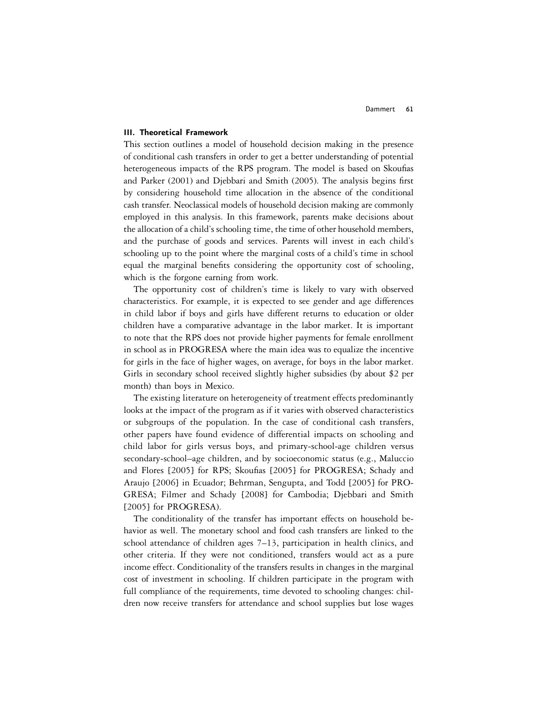# **III. Theoretical Framework**

This section outlines a model of household decision making in the presence of conditional cash transfers in order to get a better understanding of potential heterogeneous impacts of the RPS program. The model is based on Skoufias and Parker (2001) and Djebbari and Smith (2005). The analysis begins first by considering household time allocation in the absence of the conditional cash transfer. Neoclassical models of household decision making are commonly employed in this analysis. In this framework, parents make decisions about the allocation of a child's schooling time, the time of other household members, and the purchase of goods and services. Parents will invest in each child's schooling up to the point where the marginal costs of a child's time in school equal the marginal benefits considering the opportunity cost of schooling, which is the forgone earning from work.

The opportunity cost of children's time is likely to vary with observed characteristics. For example, it is expected to see gender and age differences in child labor if boys and girls have different returns to education or older children have a comparative advantage in the labor market. It is important to note that the RPS does not provide higher payments for female enrollment in school as in PROGRESA where the main idea was to equalize the incentive for girls in the face of higher wages, on average, for boys in the labor market. Girls in secondary school received slightly higher subsidies (by about \$2 per month) than boys in Mexico.

The existing literature on heterogeneity of treatment effects predominantly looks at the impact of the program as if it varies with observed characteristics or subgroups of the population. In the case of conditional cash transfers, other papers have found evidence of differential impacts on schooling and child labor for girls versus boys, and primary-school-age children versus secondary-school–age children, and by socioeconomic status (e.g., Maluccio and Flores [2005] for RPS; Skoufias [2005] for PROGRESA; Schady and Araujo [2006] in Ecuador; Behrman, Sengupta, and Todd [2005] for PRO-GRESA; Filmer and Schady [2008] for Cambodia; Djebbari and Smith [2005] for PROGRESA).

The conditionality of the transfer has important effects on household behavior as well. The monetary school and food cash transfers are linked to the school attendance of children ages 7–13, participation in health clinics, and other criteria. If they were not conditioned, transfers would act as a pure income effect. Conditionality of the transfers results in changes in the marginal cost of investment in schooling. If children participate in the program with full compliance of the requirements, time devoted to schooling changes: children now receive transfers for attendance and school supplies but lose wages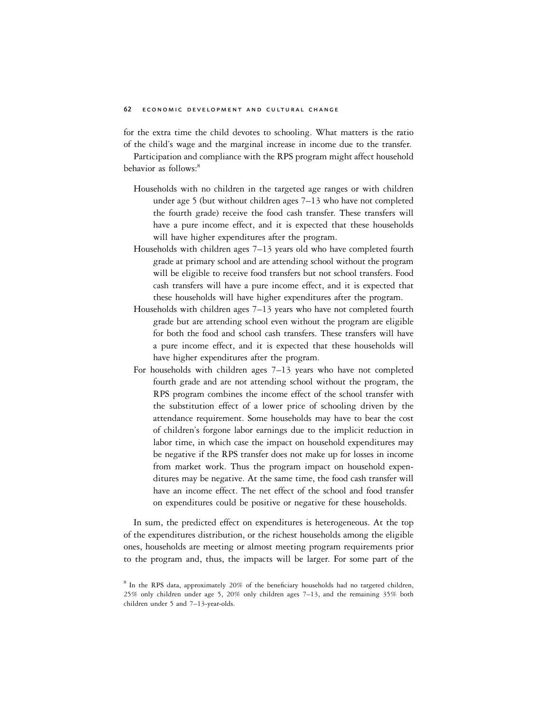for the extra time the child devotes to schooling. What matters is the ratio of the child's wage and the marginal increase in income due to the transfer.

Participation and compliance with the RPS program might affect household behavior as follows:<sup>8</sup>

- Households with no children in the targeted age ranges or with children under age 5 (but without children ages 7–13 who have not completed the fourth grade) receive the food cash transfer. These transfers will have a pure income effect, and it is expected that these households will have higher expenditures after the program.
- Households with children ages 7–13 years old who have completed fourth grade at primary school and are attending school without the program will be eligible to receive food transfers but not school transfers. Food cash transfers will have a pure income effect, and it is expected that these households will have higher expenditures after the program.
- Households with children ages 7–13 years who have not completed fourth grade but are attending school even without the program are eligible for both the food and school cash transfers. These transfers will have a pure income effect, and it is expected that these households will have higher expenditures after the program.
- For households with children ages 7–13 years who have not completed fourth grade and are not attending school without the program, the RPS program combines the income effect of the school transfer with the substitution effect of a lower price of schooling driven by the attendance requirement. Some households may have to bear the cost of children's forgone labor earnings due to the implicit reduction in labor time, in which case the impact on household expenditures may be negative if the RPS transfer does not make up for losses in income from market work. Thus the program impact on household expenditures may be negative. At the same time, the food cash transfer will have an income effect. The net effect of the school and food transfer on expenditures could be positive or negative for these households.

In sum, the predicted effect on expenditures is heterogeneous. At the top of the expenditures distribution, or the richest households among the eligible ones, households are meeting or almost meeting program requirements prior to the program and, thus, the impacts will be larger. For some part of the

<sup>8</sup> In the RPS data, approximately 20% of the beneficiary households had no targeted children, 25% only children under age 5, 20% only children ages 7–13, and the remaining 35% both children under 5 and 7–13-year-olds.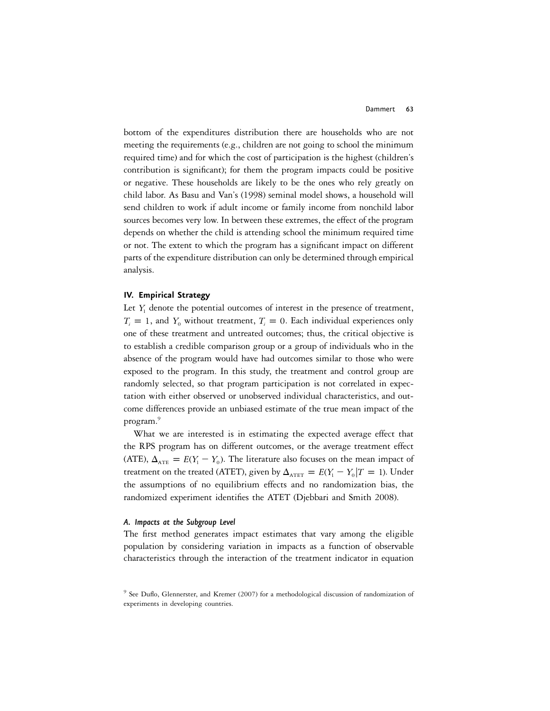bottom of the expenditures distribution there are households who are not meeting the requirements (e.g., children are not going to school the minimum required time) and for which the cost of participation is the highest (children's contribution is significant); for them the program impacts could be positive or negative. These households are likely to be the ones who rely greatly on child labor. As Basu and Van's (1998) seminal model shows, a household will send children to work if adult income or family income from nonchild labor sources becomes very low. In between these extremes, the effect of the program depends on whether the child is attending school the minimum required time or not. The extent to which the program has a significant impact on different parts of the expenditure distribution can only be determined through empirical analysis.

# **IV. Empirical Strategy**

Let  $Y_1$  denote the potential outcomes of interest in the presence of treatment,  $T_i = 1$ , and  $Y_0$  without treatment,  $T_i = 0$ . Each individual experiences only one of these treatment and untreated outcomes; thus, the critical objective is to establish a credible comparison group or a group of individuals who in the absence of the program would have had outcomes similar to those who were exposed to the program. In this study, the treatment and control group are randomly selected, so that program participation is not correlated in expectation with either observed or unobserved individual characteristics, and outcome differences provide an unbiased estimate of the true mean impact of the program.9

What we are interested is in estimating the expected average effect that the RPS program has on different outcomes, or the average treatment effect (ATE),  $\Delta_{ATE} = E(Y_1 - Y_0)$ . The literature also focuses on the mean impact of treatment on the treated (ATET), given by  $\Delta_{\text{ATT}} = E(Y_1 - Y_0 | T = 1)$ . Under the assumptions of no equilibrium effects and no randomization bias, the randomized experiment identifies the ATET (Djebbari and Smith 2008).

# *A. Impacts at the Subgroup Level*

The first method generates impact estimates that vary among the eligible population by considering variation in impacts as a function of observable characteristics through the interaction of the treatment indicator in equation

<sup>&</sup>lt;sup>9</sup> See Duflo, Glennerster, and Kremer (2007) for a methodological discussion of randomization of experiments in developing countries.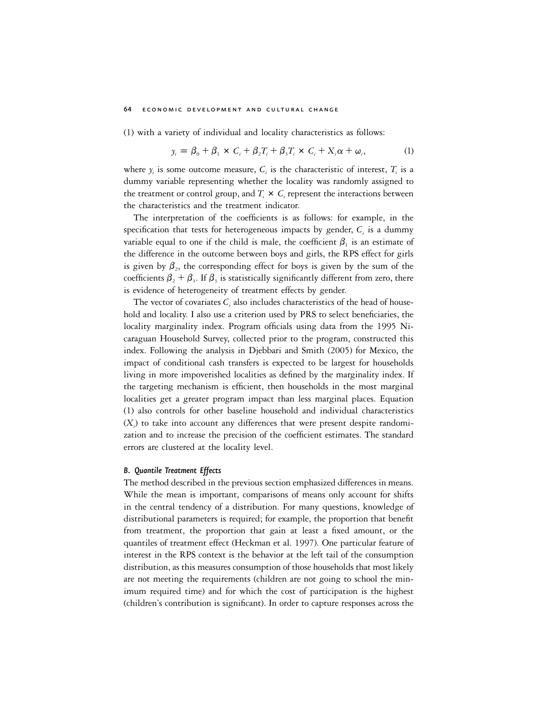(1) with a variety of individual and locality characteristics as follows:

$$
y_i = \beta_0 + \beta_1 \times C_i + \beta_2 T_i + \beta_3 T_i \times C_i + X_i \alpha + \omega_i, \tag{1}
$$

where  $y_i$  is some outcome measure,  $C_i$  is the characteristic of interest,  $T_i$  is a dummy variable representing whether the locality was randomly assigned to the treatment or control group, and  $T_i \times C_i$  represent the interactions between the characteristics and the treatment indicator.

The interpretation of the coefficients is as follows: for example, in the specification that tests for heterogeneous impacts by gender,  $C<sub>i</sub>$  is a dummy variable equal to one if the child is male, the coefficient  $\beta_1$  is an estimate of the difference in the outcome between boys and girls, the RPS effect for girls is given by  $\beta_2$ , the corresponding effect for boys is given by the sum of the coefficients  $\beta_2 + \beta_3$ . If  $\beta_3$  is statistically significantly different from zero, there is evidence of heterogeneity of treatment effects by gender.

The vector of covariates  $C_i$ , also includes characteristics of the head of household and locality. I also use a criterion used by PRS to select beneficiaries, the locality marginality index. Program officials using data from the 1995 Nicaraguan Household Survey, collected prior to the program, constructed this index. Following the analysis in Djebbari and Smith (2005) for Mexico, the impact of conditional cash transfers is expected to be largest for households living in more impoverished localities as defined by the marginality index. If the targeting mechanism is efficient, then households in the most marginal localities get a greater program impact than less marginal places. Equation (1) also controls for other baseline household and individual characteristics  $(X_i)$  to take into account any differences that were present despite randomization and to increase the precision of the coefficient estimates. The standard errors are clustered at the locality level.

### *B. Quantile Treatment Effects*

The method described in the previous section emphasized differences in means. While the mean is important, comparisons of means only account for shifts in the central tendency of a distribution. For many questions, knowledge of distributional parameters is required; for example, the proportion that benefit from treatment, the proportion that gain at least a fixed amount, or the quantiles of treatment effect (Heckman et al. 1997). One particular feature of interest in the RPS context is the behavior at the left tail of the consumption distribution, as this measures consumption of those households that most likely are not meeting the requirements (children are not going to school the minimum required time) and for which the cost of participation is the highest (children's contribution is significant). In order to capture responses across the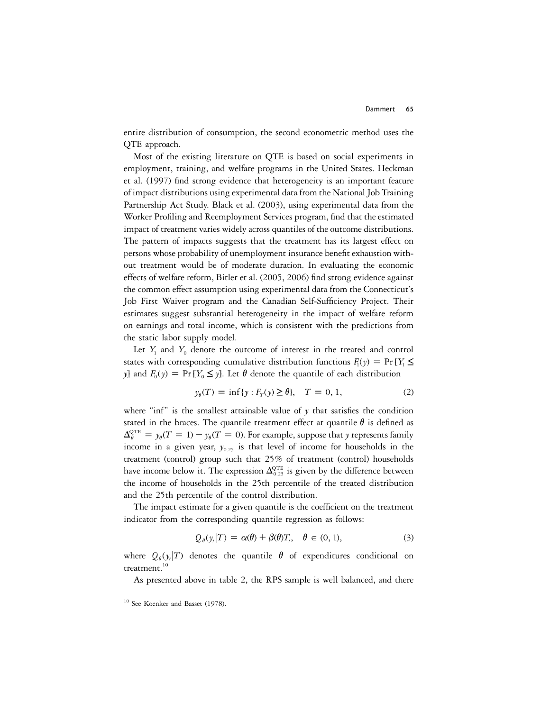entire distribution of consumption, the second econometric method uses the QTE approach.

Most of the existing literature on QTE is based on social experiments in employment, training, and welfare programs in the United States. Heckman et al. (1997) find strong evidence that heterogeneity is an important feature of impact distributions using experimental data from the National Job Training Partnership Act Study. Black et al. (2003), using experimental data from the Worker Profiling and Reemployment Services program, find that the estimated impact of treatment varies widely across quantiles of the outcome distributions. The pattern of impacts suggests that the treatment has its largest effect on persons whose probability of unemployment insurance benefit exhaustion without treatment would be of moderate duration. In evaluating the economic effects of welfare reform, Bitler et al. (2005, 2006) find strong evidence against the common effect assumption using experimental data from the Connecticut's Job First Waiver program and the Canadian Self-Sufficiency Project. Their estimates suggest substantial heterogeneity in the impact of welfare reform on earnings and total income, which is consistent with the predictions from the static labor supply model.

Let  $Y_1$  and  $Y_0$  denote the outcome of interest in the treated and control states with corresponding cumulative distribution functions  $F_1(y) = \Pr{Y_1 \leq y}$ *y*} and  $F_0(y) = \Pr{Y_0 \leq y}$ . Let  $\theta$  denote the quantile of each distribution

$$
y_{\theta}(T) = \inf \{ y : F_T(y) \ge \theta \}, \quad T = 0, 1,
$$
 (2)

where "inf" is the smallest attainable value of *y* that satisfies the condition stated in the braces. The quantile treatment effect at quantile  $\theta$  is defined as  $\Delta_{\theta}^{\text{QTE}} = \gamma_{\theta}(T = 1) - \gamma_{\theta}(T = 0)$ . For example, suppose that *y* represents family income in a given year,  $y_{0.25}$  is that level of income for households in the treatment (control) group such that 25% of treatment (control) households have income below it. The expression  $\Delta_{0.25}^{\text{QTE}}$  is given by the difference between the income of households in the 25th percentile of the treated distribution and the 25th percentile of the control distribution.

The impact estimate for a given quantile is the coefficient on the treatment indicator from the corresponding quantile regression as follows:

$$
Q_{\theta}(y_i|T) = \alpha(\theta) + \beta(\theta)T_i, \quad \theta \in (0, 1), \tag{3}
$$

where  $Q_{\theta}(y_i|T)$  denotes the quantile  $\theta$  of expenditures conditional on treatment.<sup>10</sup>

As presented above in table 2, the RPS sample is well balanced, and there

<sup>&</sup>lt;sup>10</sup> See Koenker and Basset (1978).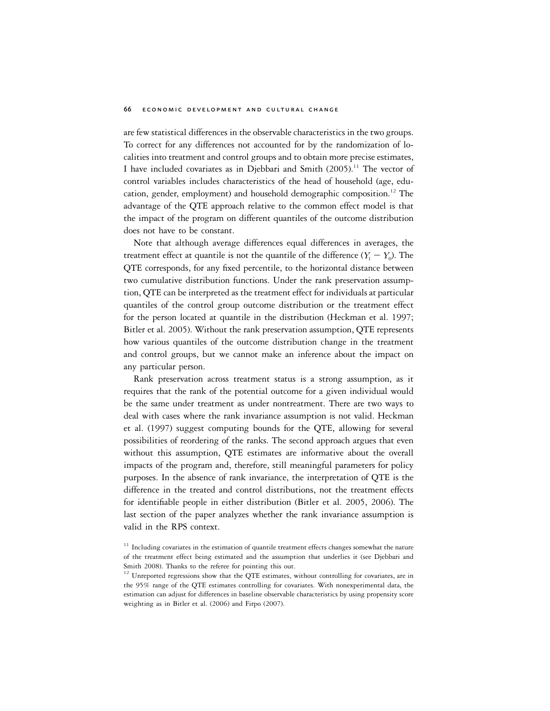are few statistical differences in the observable characteristics in the two groups. To correct for any differences not accounted for by the randomization of localities into treatment and control groups and to obtain more precise estimates, I have included covariates as in Djebbari and Smith  $(2005)^{11}$  The vector of control variables includes characteristics of the head of household (age, education, gender, employment) and household demographic composition.<sup>12</sup> The advantage of the QTE approach relative to the common effect model is that the impact of the program on different quantiles of the outcome distribution does not have to be constant.

Note that although average differences equal differences in averages, the treatment effect at quantile is not the quantile of the difference  $(Y_1 - Y_0)$ . The QTE corresponds, for any fixed percentile, to the horizontal distance between two cumulative distribution functions. Under the rank preservation assumption, QTE can be interpreted as the treatment effect for individuals at particular quantiles of the control group outcome distribution or the treatment effect for the person located at quantile in the distribution (Heckman et al. 1997; Bitler et al. 2005). Without the rank preservation assumption, QTE represents how various quantiles of the outcome distribution change in the treatment and control groups, but we cannot make an inference about the impact on any particular person.

Rank preservation across treatment status is a strong assumption, as it requires that the rank of the potential outcome for a given individual would be the same under treatment as under nontreatment. There are two ways to deal with cases where the rank invariance assumption is not valid. Heckman et al. (1997) suggest computing bounds for the QTE, allowing for several possibilities of reordering of the ranks. The second approach argues that even without this assumption, QTE estimates are informative about the overall impacts of the program and, therefore, still meaningful parameters for policy purposes. In the absence of rank invariance, the interpretation of QTE is the difference in the treated and control distributions, not the treatment effects for identifiable people in either distribution (Bitler et al. 2005, 2006). The last section of the paper analyzes whether the rank invariance assumption is valid in the RPS context.

 $11$  Including covariates in the estimation of quantile treatment effects changes somewhat the nature of the treatment effect being estimated and the assumption that underlies it (see Djebbari and Smith 2008). Thanks to the referee for pointing this out.

<sup>&</sup>lt;sup>12</sup> Unreported regressions show that the QTE estimates, without controlling for covariates, are in the 95% range of the QTE estimates controlling for covariates. With nonexperimental data, the estimation can adjust for differences in baseline observable characteristics by using propensity score weighting as in Bitler et al. (2006) and Firpo (2007).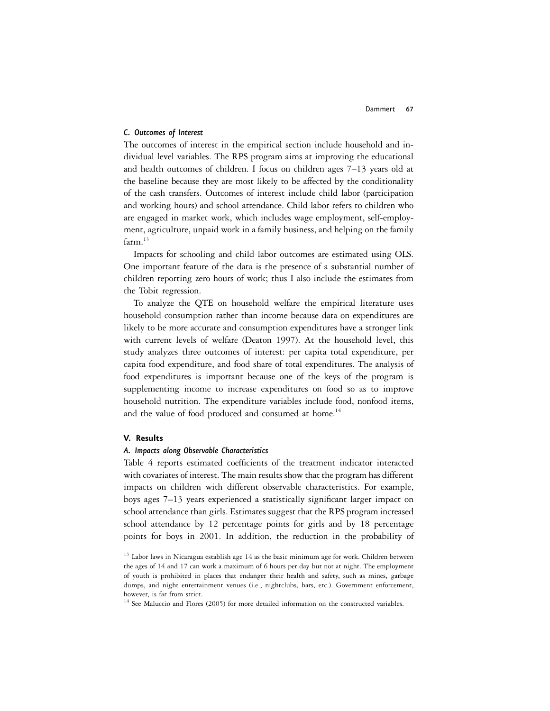# *C. Outcomes of Interest*

The outcomes of interest in the empirical section include household and individual level variables. The RPS program aims at improving the educational and health outcomes of children. I focus on children ages 7–13 years old at the baseline because they are most likely to be affected by the conditionality of the cash transfers. Outcomes of interest include child labor (participation and working hours) and school attendance. Child labor refers to children who are engaged in market work, which includes wage employment, self-employment, agriculture, unpaid work in a family business, and helping on the family farm.<sup>13</sup>

Impacts for schooling and child labor outcomes are estimated using OLS. One important feature of the data is the presence of a substantial number of children reporting zero hours of work; thus I also include the estimates from the Tobit regression.

To analyze the QTE on household welfare the empirical literature uses household consumption rather than income because data on expenditures are likely to be more accurate and consumption expenditures have a stronger link with current levels of welfare (Deaton 1997). At the household level, this study analyzes three outcomes of interest: per capita total expenditure, per capita food expenditure, and food share of total expenditures. The analysis of food expenditures is important because one of the keys of the program is supplementing income to increase expenditures on food so as to improve household nutrition. The expenditure variables include food, nonfood items, and the value of food produced and consumed at home.<sup>14</sup>

# **V. Results**

# *A. Impacts along Observable Characteristics*

Table 4 reports estimated coefficients of the treatment indicator interacted with covariates of interest. The main results show that the program has different impacts on children with different observable characteristics. For example, boys ages 7–13 years experienced a statistically significant larger impact on school attendance than girls. Estimates suggest that the RPS program increased school attendance by 12 percentage points for girls and by 18 percentage points for boys in 2001. In addition, the reduction in the probability of

 $13$  Labor laws in Nicaragua establish age 14 as the basic minimum age for work. Children between the ages of 14 and 17 can work a maximum of 6 hours per day but not at night. The employment of youth is prohibited in places that endanger their health and safety, such as mines, garbage dumps, and night entertainment venues (i.e., nightclubs, bars, etc.). Government enforcement, however, is far from strict.

 $14$  See Maluccio and Flores (2005) for more detailed information on the constructed variables.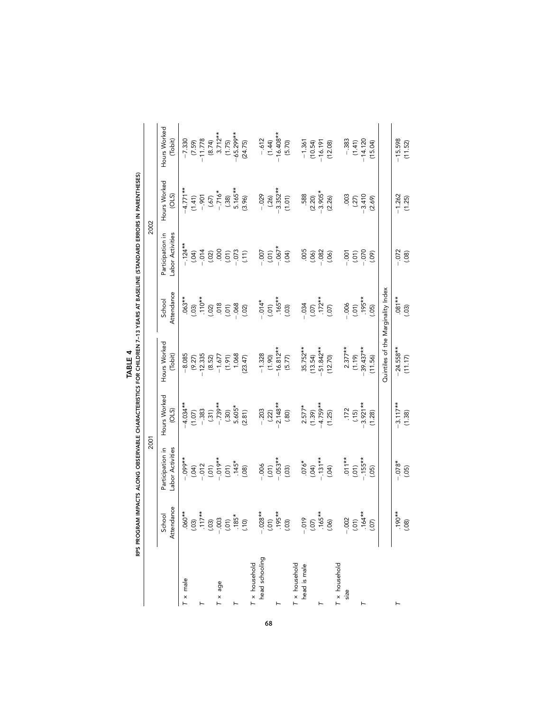|                      |                                                                       | RPS PROGRAM IMPACTS ALONG OBSERVABLE CHARACTERISTICS FOR CHILDREN 7-13 YEARS AT BASELINE (STANDARD ERRORS IN PARENTHESES) |                       |                                    |                      |                                      |                       |                         |
|----------------------|-----------------------------------------------------------------------|---------------------------------------------------------------------------------------------------------------------------|-----------------------|------------------------------------|----------------------|--------------------------------------|-----------------------|-------------------------|
|                      |                                                                       | 2001                                                                                                                      |                       |                                    |                      | 2002                                 |                       |                         |
|                      | Attendance<br>School                                                  | Labor Activities<br>Participation in                                                                                      | Hours Worked<br>(OLS) | Hours Worked<br>(Tobit)            | Attendance<br>School | -abor Activities<br>Participation in | Hours Worked<br>(OLS) | Hours Worked<br>(Tobit) |
| $\Gamma \times$ male | $.060**$                                                              | $*800.$                                                                                                                   | $4.034***$            | $-8.085$                           | $.063**$             | $-.124**$                            | $-4.771**$            | $-7.330$                |
|                      |                                                                       | (0.04)                                                                                                                    | (1.07)                |                                    | (.03)                | (0.04)                               | (1.41)                |                         |
|                      | $(03)$<br>$(117**$<br>$(03)$<br>$(003)$<br>$(01)$<br>$(01)$<br>$(01)$ | $-.012$                                                                                                                   | $-.383$               | $(9.27)$<br>12.335                 | $.110***$            | $-0.014$                             | $-0.901$              | $(7.59)$<br>-11.778     |
|                      |                                                                       | $(-01)$<br>-0.19**                                                                                                        | (31)                  |                                    | (.02)                | (.02)                                |                       |                         |
| $T \times age$       |                                                                       |                                                                                                                           | $-739**$              | $(8.52)$<br>-1.677                 |                      | 000.                                 | $(-67)$<br>-.716*     | $(8.74)$<br>3.712**     |
|                      |                                                                       | $(0.01)$<br>$(145*)$                                                                                                      | (30)                  | $(1.91)$<br>1.068                  | (10)                 | (01)                                 | (.38)                 | (1.75)                  |
|                      |                                                                       |                                                                                                                           | 5.605*                |                                    | $-.068$              | $-0.073$                             | $5.165***$            | $-65.299**$             |
|                      | (10)                                                                  | (.08)                                                                                                                     | (2.81)                | (23.47)                            | (.02)                | (11)                                 | (3.96)                | (24.75)                 |
| T x household        |                                                                       |                                                                                                                           |                       |                                    |                      |                                      |                       |                         |
| head schooling       | $28**$                                                                | $-0.006$                                                                                                                  | $-.203$               | $-1.328$                           | $-.014*$             | $-0.007$                             | $-0.029$              | $-612$                  |
|                      |                                                                       | (01)                                                                                                                      | (22)                  | (1.90)                             | (00)                 | (01)                                 | (.26)                 | (1.44)                  |
|                      |                                                                       | $-0.53**$                                                                                                                 | $2.148**$             | $-16.812***$                       | $.165***$            | $-0.067*$                            | $-3.352**$            | $-16.408**$             |
|                      | $(01)$<br>$(195**$<br>$(00)$                                          | (.03)                                                                                                                     | (.80)                 | (5.77)                             | (.03)                | (0.04)                               | (1.01)                | (5.70)                  |
| T x household        |                                                                       |                                                                                                                           |                       |                                    |                      |                                      |                       |                         |
| head is male         | 910                                                                   | $.076*$                                                                                                                   | $2.577*$              | 35.752**                           | $-.034$              | .005                                 | .588                  | $-1.361$                |
|                      | (0, 0)                                                                | (.04)                                                                                                                     | (1.39)                | (13.54)                            | (0.07)               | (06)                                 | (2.20)                | (10.54)                 |
|                      |                                                                       | $-131**$                                                                                                                  | $4.759**$             | 51.842**                           | $.172***$            | $-0.082$                             | $-3.905*$             | $-16.191$               |
|                      | $165**$<br>(.06)                                                      | (04)                                                                                                                      | (1.25)                | (12.70)                            | (.07)                | (06)                                 | (2.26)                | (12.08)                 |
| T x household        |                                                                       |                                                                                                                           |                       |                                    |                      |                                      |                       |                         |
| size                 |                                                                       | $.011***$                                                                                                                 | .172                  | $2.377**$                          | $-006$               | $-0.001$                             | $\overline{003}$      | $-.383$                 |
|                      |                                                                       | (00)                                                                                                                      | (15)                  | (1.19)                             | (00)                 | (01)                                 | (.27)                 | (1.41)                  |
| ⊢                    |                                                                       | $-.155***$                                                                                                                | $3.921***$            | $39.437**$                         | $.195**$             | $-0.070$                             | $-3.410$              | $-14.120$               |
|                      | $-0.02$<br>(.01)<br>(.01)<br>(.07)                                    | (.05)                                                                                                                     | (1.28)                | (11.56)                            | (.05)                | (0.09)                               | (2.69)                | (15.04)                 |
|                      |                                                                       |                                                                                                                           |                       | Quintiles of the Marginality Index |                      |                                      |                       |                         |
| ⊢                    |                                                                       | $-0.078*$                                                                                                                 | $-3.117**$            | $-24.558**$                        | $**180.$             | $-.072$                              | $-1.262$              | $-15.598$               |
|                      | $+190**$<br>$+90**$                                                   | (0.5)                                                                                                                     | (1.38)                | (11.17)                            | (.03)                | (.08)                                | (1.25)                | (11.52)                 |

TABLE 4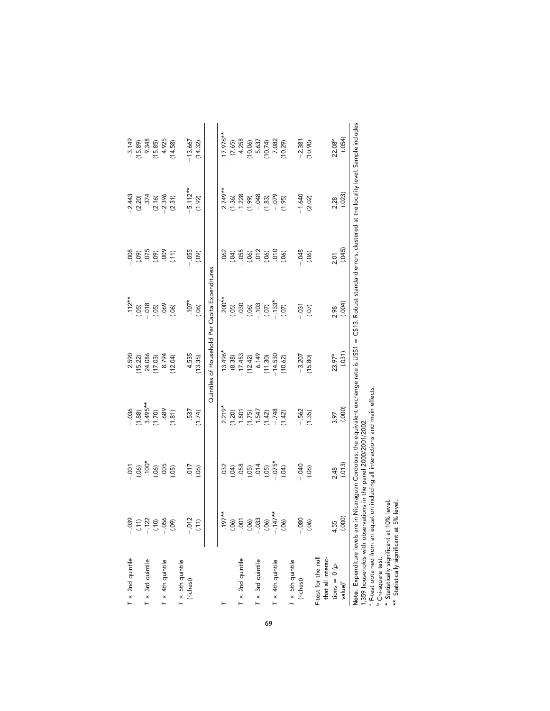| $T \times 2nd$ quintile                                                                                                                                                     | $-039$                                   | $-0.001$ | $-036$     | 2.590                                          | $.112***$         | $-0.008$    | $-2.443$   | $-3.149$           |
|-----------------------------------------------------------------------------------------------------------------------------------------------------------------------------|------------------------------------------|----------|------------|------------------------------------------------|-------------------|-------------|------------|--------------------|
|                                                                                                                                                                             | $\left($ 11)                             | (.06)    | (1.88)     | (15.22)                                        | (0.5)             | (09)        | (2.20)     | (15.89)            |
| $T \times 3rd$ quintile                                                                                                                                                     | $-.122$                                  | $-100*$  | $3.495***$ | 24.086                                         | $-0.018$          | $-075$      | .374       | 9.348              |
|                                                                                                                                                                             | $(10)$<br>056                            |          | (1.70)     | (17.03)                                        | (.05)             | (00)        | (2.16)     | (15.85)            |
| $T \times 4th$ quintile                                                                                                                                                     |                                          | (0.06)   | 689        | 8.794                                          | 069               | 600         | $-2.396$   | 4.925              |
|                                                                                                                                                                             | $\widehat{O(9)}$                         | (.05)    | (1.81)     | (12.04)                                        | (.06)             | (11)        | (2.31)     | (14.58)            |
| $T \times$ 5th quintile                                                                                                                                                     |                                          |          |            |                                                |                   |             |            |                    |
| (richest)                                                                                                                                                                   | $-.012$                                  | 017      | .537       | 4.535                                          | $.107*$           | $-.055$     | $-5.112**$ | $-13.667$          |
|                                                                                                                                                                             | (11)                                     | (96)     | (1.74)     | (13.35)                                        | (06)              | (00)        | (1.92)     | (14.32)            |
|                                                                                                                                                                             |                                          |          |            | Quintiles of Household Per Capita Expenditures |                   |             |            |                    |
|                                                                                                                                                                             | $197**$                                  | $-.032$  | $-2.219*$  | $-13.496*$                                     | $.200**$          | $-.062$     | $-2.749**$ | $-17.976**$        |
|                                                                                                                                                                             |                                          | (0.04)   | (1.20)     | (8.38)                                         | (0.5)             | (0.04)      | (1.36)     | (7.65)             |
| $T \times 2nd$ quintile                                                                                                                                                     |                                          | $-0.58$  | $-1.501$   | $-17.453$                                      | $-0.030$          | $-0.055$    | $-1.228$   | $-4.258$           |
|                                                                                                                                                                             | $(-00)$<br>$(-00)$<br>$(-00)$<br>$(-00)$ | (.05)    | (1.75)     | (12.42)                                        | (.06)             | (06)        | (1.99)     | (10.06)            |
| $T \times 3rd$ quintile                                                                                                                                                     |                                          | .014     | 1.547      | 6.149                                          | $-0.103$          | .012        | $-048$     | 5.637              |
|                                                                                                                                                                             | $\delta$                                 | (.05)    | (1.42)     | (11.30)                                        | $(-07)$<br>-.133* | (.06)       | (1.83)     | (10.74)            |
| $T \times 4th$ quintile                                                                                                                                                     | $-.147**$                                | $-.075*$ | $-.748$    | $-14.530$                                      |                   | 010         | $-0.079$   | 7.082              |
|                                                                                                                                                                             | (.06)                                    | (.04)    | (1.42)     | (10.62)                                        | (0,0)             | (.06)       | (1.95)     | (10.29)            |
| $T \times$ 5th quintile                                                                                                                                                     |                                          |          |            |                                                |                   |             |            |                    |
| (richest)                                                                                                                                                                   | $-080$                                   | $-0.040$ | $-.562$    | $-3.207$                                       | $-0.31$           | $-048$      | $-1.640$   | $-2.381$           |
|                                                                                                                                                                             | (06)                                     | (.06)    | (1.35)     | (15.80)                                        | (50)              | (06)        | (2.02)     | (10.90)            |
| F-test for the null                                                                                                                                                         |                                          |          |            |                                                |                   |             |            |                    |
| that all interac-                                                                                                                                                           |                                          |          |            |                                                |                   |             |            |                    |
| tions = $0(p-$                                                                                                                                                              | 4.55                                     | 2.48     | 3.97       | 23.97 <sup>b</sup>                             | 2.98              | <b>2.01</b> | 2.28       | 22.08 <sup>b</sup> |
| value) <sup>a</sup>                                                                                                                                                         | $\overline{0}$                           | (.013)   | (000)      | (.031)                                         | (0.004)           | (0.045)     | (.023)     | (.054)             |
| Note. Expenditure levels are in Nicaraquan Cordobas; the equivalent exchange rate is US\$1 = C\$13. Robust standard errors, dustered at the locality level. Sample includes |                                          |          |            |                                                |                   |             |            |                    |

Note. Expenditure levels are in Nicaraguan Cordobas; the equivalent exchange rate is US\$1 = C\$13. Robust standard errors, clustered at the locality level. Sample includes  $\frac{1}{2}$  $\frac{1}{2}$  $\frac{5}{2}$ 

1,359 households with observations in the panel 2000/2001/2002. *F*-test obtained from an equation including all interactions and main effects.

ab\*Chi-square test.

Statistically significant at 10% level.

\*\* Statistically significant at 5% level.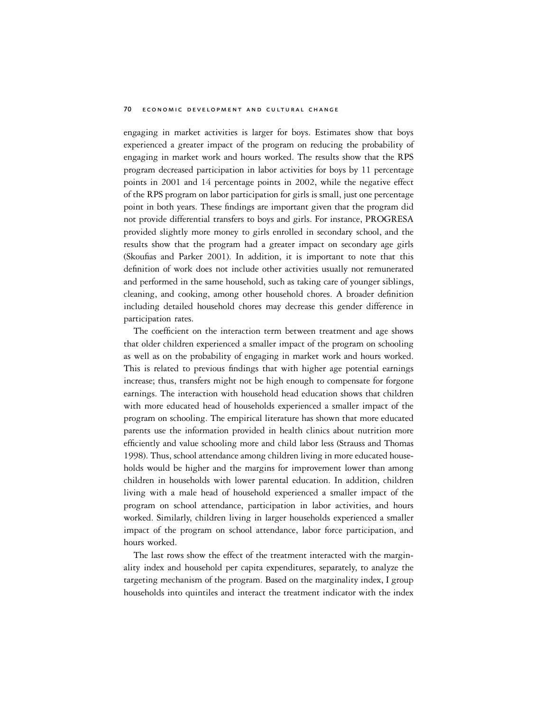engaging in market activities is larger for boys. Estimates show that boys experienced a greater impact of the program on reducing the probability of engaging in market work and hours worked. The results show that the RPS program decreased participation in labor activities for boys by 11 percentage points in 2001 and 14 percentage points in 2002, while the negative effect of the RPS program on labor participation for girls is small, just one percentage point in both years. These findings are important given that the program did not provide differential transfers to boys and girls. For instance, PROGRESA provided slightly more money to girls enrolled in secondary school, and the results show that the program had a greater impact on secondary age girls (Skoufias and Parker 2001). In addition, it is important to note that this definition of work does not include other activities usually not remunerated and performed in the same household, such as taking care of younger siblings, cleaning, and cooking, among other household chores. A broader definition including detailed household chores may decrease this gender difference in participation rates.

The coefficient on the interaction term between treatment and age shows that older children experienced a smaller impact of the program on schooling as well as on the probability of engaging in market work and hours worked. This is related to previous findings that with higher age potential earnings increase; thus, transfers might not be high enough to compensate for forgone earnings. The interaction with household head education shows that children with more educated head of households experienced a smaller impact of the program on schooling. The empirical literature has shown that more educated parents use the information provided in health clinics about nutrition more efficiently and value schooling more and child labor less (Strauss and Thomas 1998). Thus, school attendance among children living in more educated households would be higher and the margins for improvement lower than among children in households with lower parental education. In addition, children living with a male head of household experienced a smaller impact of the program on school attendance, participation in labor activities, and hours worked. Similarly, children living in larger households experienced a smaller impact of the program on school attendance, labor force participation, and hours worked.

The last rows show the effect of the treatment interacted with the marginality index and household per capita expenditures, separately, to analyze the targeting mechanism of the program. Based on the marginality index, I group households into quintiles and interact the treatment indicator with the index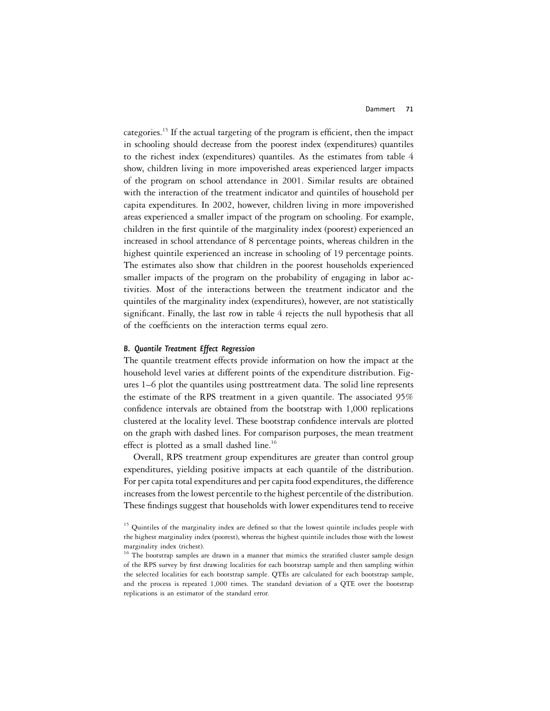categories.15 If the actual targeting of the program is efficient, then the impact in schooling should decrease from the poorest index (expenditures) quantiles to the richest index (expenditures) quantiles. As the estimates from table 4 show, children living in more impoverished areas experienced larger impacts of the program on school attendance in 2001. Similar results are obtained with the interaction of the treatment indicator and quintiles of household per capita expenditures. In 2002, however, children living in more impoverished areas experienced a smaller impact of the program on schooling. For example, children in the first quintile of the marginality index (poorest) experienced an increased in school attendance of 8 percentage points, whereas children in the highest quintile experienced an increase in schooling of 19 percentage points. The estimates also show that children in the poorest households experienced smaller impacts of the program on the probability of engaging in labor activities. Most of the interactions between the treatment indicator and the quintiles of the marginality index (expenditures), however, are not statistically significant. Finally, the last row in table 4 rejects the null hypothesis that all of the coefficients on the interaction terms equal zero.

# *B. Quantile Treatment Effect Regression*

The quantile treatment effects provide information on how the impact at the household level varies at different points of the expenditure distribution. Figures 1–6 plot the quantiles using posttreatment data. The solid line represents the estimate of the RPS treatment in a given quantile. The associated 95% confidence intervals are obtained from the bootstrap with 1,000 replications clustered at the locality level. These bootstrap confidence intervals are plotted on the graph with dashed lines. For comparison purposes, the mean treatment effect is plotted as a small dashed line.<sup>16</sup>

Overall, RPS treatment group expenditures are greater than control group expenditures, yielding positive impacts at each quantile of the distribution. For per capita total expenditures and per capita food expenditures, the difference increases from the lowest percentile to the highest percentile of the distribution. These findings suggest that households with lower expenditures tend to receive

<sup>&</sup>lt;sup>15</sup> Quintiles of the marginality index are defined so that the lowest quintile includes people with the highest marginality index (poorest), whereas the highest quintile includes those with the lowest marginality index (richest).

<sup>&</sup>lt;sup>16</sup> The bootstrap samples are drawn in a manner that mimics the stratified cluster sample design of the RPS survey by first drawing localities for each bootstrap sample and then sampling within the selected localities for each bootstrap sample. QTEs are calculated for each bootstrap sample, and the process is repeated 1,000 times. The standard deviation of a QTE over the bootstrap replications is an estimator of the standard error.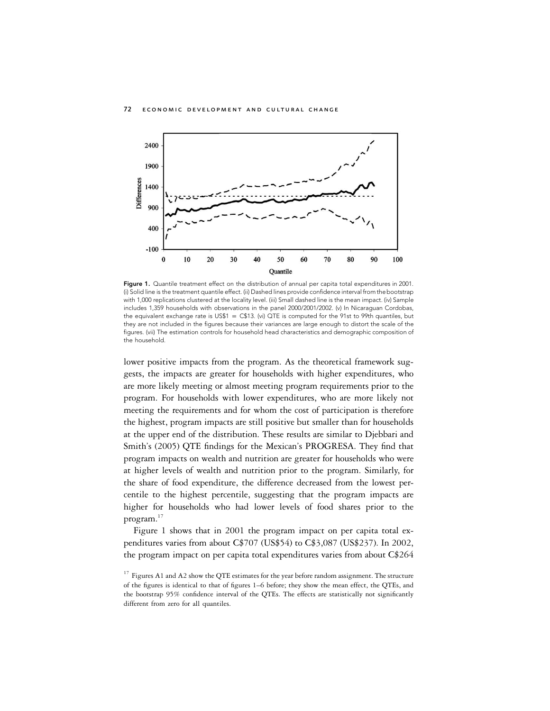

Figure 1. Quantile treatment effect on the distribution of annual per capita total expenditures in 2001. (i) Solid line is the treatment quantile effect. (ii) Dashed lines provide confidence interval from the bootstrap with 1,000 replications clustered at the locality level. (iii) Small dashed line is the mean impact. (iv) Sample includes 1,359 households with observations in the panel 2000/2001/2002. (v) In Nicaraguan Cordobas, the equivalent exchange rate is US\$1 = C\$13. (vi) QTE is computed for the 91st to 99th quantiles, but they are not included in the figures because their variances are large enough to distort the scale of the figures. (vii) The estimation controls for household head characteristics and demographic composition of the household.

lower positive impacts from the program. As the theoretical framework suggests, the impacts are greater for households with higher expenditures, who are more likely meeting or almost meeting program requirements prior to the program. For households with lower expenditures, who are more likely not meeting the requirements and for whom the cost of participation is therefore the highest, program impacts are still positive but smaller than for households at the upper end of the distribution. These results are similar to Djebbari and Smith's (2005) QTE findings for the Mexican's PROGRESA. They find that program impacts on wealth and nutrition are greater for households who were at higher levels of wealth and nutrition prior to the program. Similarly, for the share of food expenditure, the difference decreased from the lowest percentile to the highest percentile, suggesting that the program impacts are higher for households who had lower levels of food shares prior to the program.17

Figure 1 shows that in 2001 the program impact on per capita total expenditures varies from about C\$707 (US\$54) to C\$3,087 (US\$237). In 2002, the program impact on per capita total expenditures varies from about C\$264

 $17$  Figures A1 and A2 show the QTE estimates for the year before random assignment. The structure of the figures is identical to that of figures 1–6 before; they show the mean effect, the QTEs, and the bootstrap 95% confidence interval of the QTEs. The effects are statistically not significantly different from zero for all quantiles.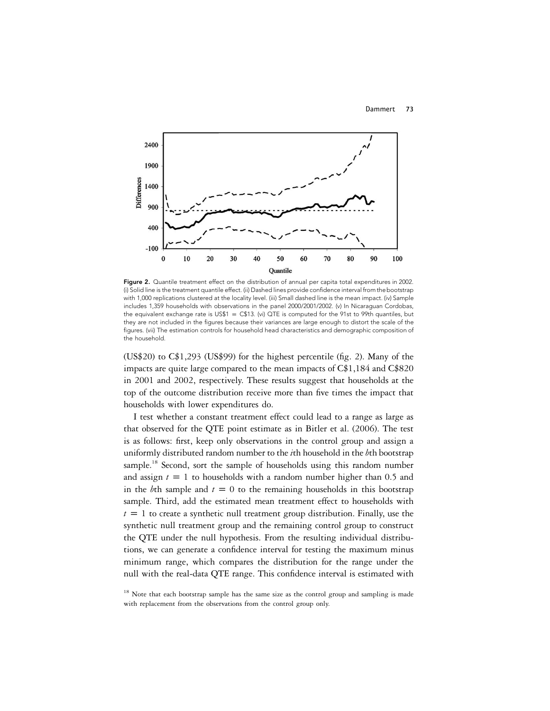Dammert 73



Figure 2. Quantile treatment effect on the distribution of annual per capita total expenditures in 2002. (i) Solid line is the treatment quantile effect. (ii) Dashed lines provide confidence interval from the bootstrap with 1,000 replications clustered at the locality level. (iii) Small dashed line is the mean impact. (iv) Sample includes 1,359 households with observations in the panel 2000/2001/2002. (v) In Nicaraguan Cordobas, the equivalent exchange rate is US\$1 =  $C$13.$  (vi) QTE is computed for the 91st to 99th quantiles, but they are not included in the figures because their variances are large enough to distort the scale of the figures. (vii) The estimation controls for household head characteristics and demographic composition of the household.

(US\$20) to C\$1,293 (US\$99) for the highest percentile (fig. 2). Many of the impacts are quite large compared to the mean impacts of C\$1,184 and C\$820 in 2001 and 2002, respectively. These results suggest that households at the top of the outcome distribution receive more than five times the impact that households with lower expenditures do.

I test whether a constant treatment effect could lead to a range as large as that observed for the QTE point estimate as in Bitler et al. (2006). The test is as follows: first, keep only observations in the control group and assign a uniformly distributed random number to the*i*th household in the*b*th bootstrap sample.<sup>18</sup> Second, sort the sample of households using this random number and assign  $t = 1$  to households with a random number higher than 0.5 and in the *b*th sample and  $t = 0$  to the remaining households in this bootstrap sample. Third, add the estimated mean treatment effect to households with  $t = 1$  to create a synthetic null treatment group distribution. Finally, use the synthetic null treatment group and the remaining control group to construct the QTE under the null hypothesis. From the resulting individual distributions, we can generate a confidence interval for testing the maximum minus minimum range, which compares the distribution for the range under the null with the real-data QTE range. This confidence interval is estimated with

 $18$  Note that each bootstrap sample has the same size as the control group and sampling is made with replacement from the observations from the control group only.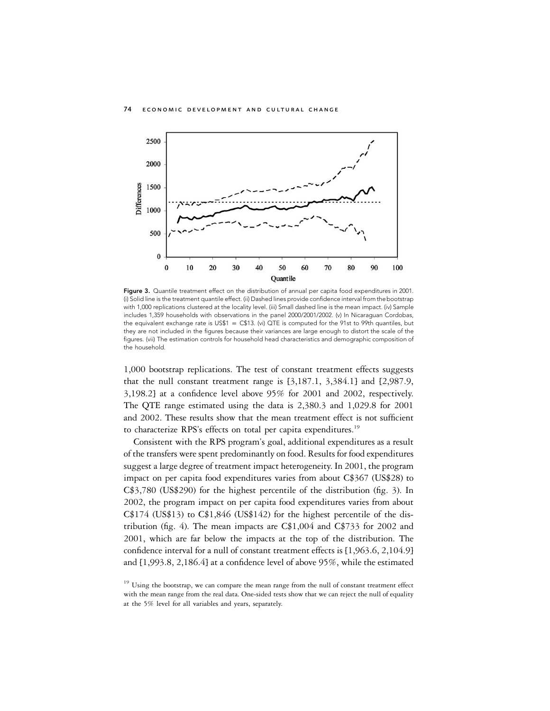

Figure 3. Quantile treatment effect on the distribution of annual per capita food expenditures in 2001. (i) Solid line is the treatment quantile effect. (ii) Dashed lines provide confidence interval from the bootstrap with 1,000 replications clustered at the locality level. (iii) Small dashed line is the mean impact. (iv) Sample includes 1,359 households with observations in the panel 2000/2001/2002. (v) In Nicaraguan Cordobas, the equivalent exchange rate is US\$1 =  $C$13.$  (vi) QTE is computed for the 91st to 99th quantiles, but they are not included in the figures because their variances are large enough to distort the scale of the figures. (vii) The estimation controls for household head characteristics and demographic composition of the household.

1,000 bootstrap replications. The test of constant treatment effects suggests that the null constant treatment range is  $\{3,187.1, 3,384.1\}$  and  $\{2,987.9,$ 3,198.2] at a confidence level above 95% for 2001 and 2002, respectively. The QTE range estimated using the data is 2,380.3 and 1,029.8 for 2001 and 2002. These results show that the mean treatment effect is not sufficient to characterize RPS's effects on total per capita expenditures.<sup>19</sup>

Consistent with the RPS program's goal, additional expenditures as a result of the transfers were spent predominantly on food. Results for food expenditures suggest a large degree of treatment impact heterogeneity. In 2001, the program impact on per capita food expenditures varies from about C\$367 (US\$28) to C\$3,780 (US\$290) for the highest percentile of the distribution (fig. 3). In 2002, the program impact on per capita food expenditures varies from about C\$174 (US\$13) to C\$1,846 (US\$142) for the highest percentile of the distribution (fig. 4). The mean impacts are C\$1,004 and C\$733 for 2002 and 2001, which are far below the impacts at the top of the distribution. The confidence interval for a null of constant treatment effects is [1,963.6, 2,104.9] and [1,993.8, 2,186.4] at a confidence level of above 95%, while the estimated

<sup>&</sup>lt;sup>19</sup> Using the bootstrap, we can compare the mean range from the null of constant treatment effect with the mean range from the real data. One-sided tests show that we can reject the null of equality at the 5% level for all variables and years, separately.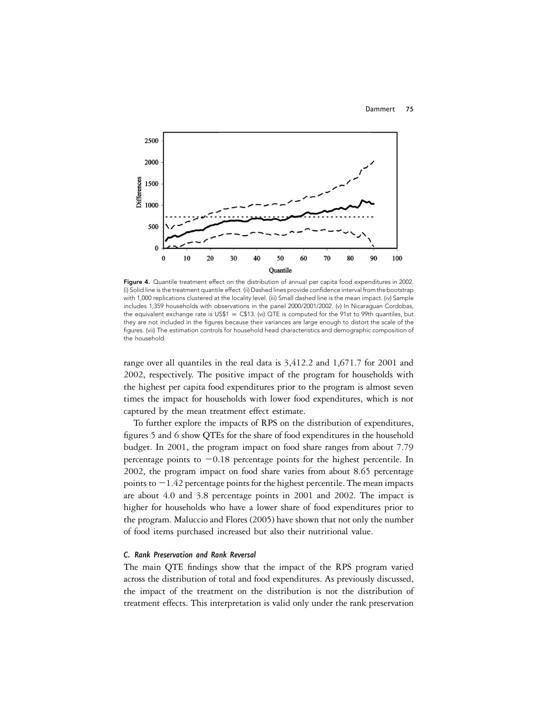Dammert 75



Figure 4. Quantile treatment effect on the distribution of annual per capita food expenditures in 2002. (i) Solid line is the treatment quantile effect. (ii) Dashed lines provide confidence interval from the bootstrap with 1,000 replications clustered at the locality level. (iii) Small dashed line is the mean impact. (iv) Sample includes 1,359 households with observations in the panel 2000/2001/2002. (v) In Nicaraguan Cordobas, the equivalent exchange rate is US\$1 =  $C$13.$  (vi) QTE is computed for the 91st to 99th quantiles, but they are not included in the figures because their variances are large enough to distort the scale of the figures. (vii) The estimation controls for household head characteristics and demographic composition of the household.

range over all quantiles in the real data is 3,412.2 and 1,671.7 for 2001 and 2002, respectively. The positive impact of the program for households with the highest per capita food expenditures prior to the program is almost seven times the impact for households with lower food expenditures, which is not captured by the mean treatment effect estimate.

To further explore the impacts of RPS on the distribution of expenditures, figures 5 and 6 show QTEs for the share of food expenditures in the household budget. In 2001, the program impact on food share ranges from about 7.79 percentage points to  $-0.18$  percentage points for the highest percentile. In 2002, the program impact on food share varies from about 8.65 percentage points to  $-1.42$  percentage points for the highest percentile. The mean impacts are about 4.0 and 3.8 percentage points in 2001 and 2002. The impact is higher for households who have a lower share of food expenditures prior to the program. Maluccio and Flores (2005) have shown that not only the number of food items purchased increased but also their nutritional value.

# *C. Rank Preservation and Rank Reversal*

The main QTE findings show that the impact of the RPS program varied across the distribution of total and food expenditures. As previously discussed, the impact of the treatment on the distribution is not the distribution of treatment effects. This interpretation is valid only under the rank preservation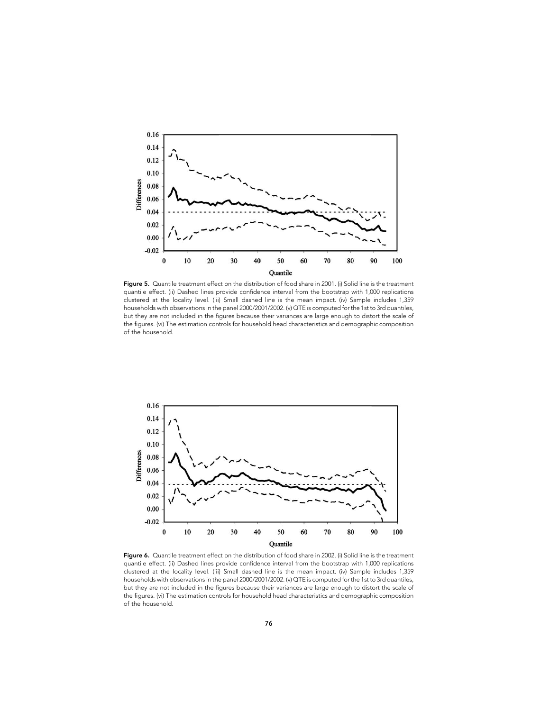

Figure 5. Quantile treatment effect on the distribution of food share in 2001. (i) Solid line is the treatment quantile effect. (ii) Dashed lines provide confidence interval from the bootstrap with 1,000 replications clustered at the locality level. (iii) Small dashed line is the mean impact. (iv) Sample includes 1,359 households with observations in the panel 2000/2001/2002. (v) QTE is computed for the 1st to 3rd quantiles, but they are not included in the figures because their variances are large enough to distort the scale of the figures. (vi) The estimation controls for household head characteristics and demographic composition of the household.



Figure 6. Quantile treatment effect on the distribution of food share in 2002. (i) Solid line is the treatment quantile effect. (ii) Dashed lines provide confidence interval from the bootstrap with 1,000 replications clustered at the locality level. (iii) Small dashed line is the mean impact. (iv) Sample includes 1,359 households with observations in the panel 2000/2001/2002. (v) QTE is computed for the 1st to 3rd quantiles, but they are not included in the figures because their variances are large enough to distort the scale of the figures. (vi) The estimation controls for household head characteristics and demographic composition of the household.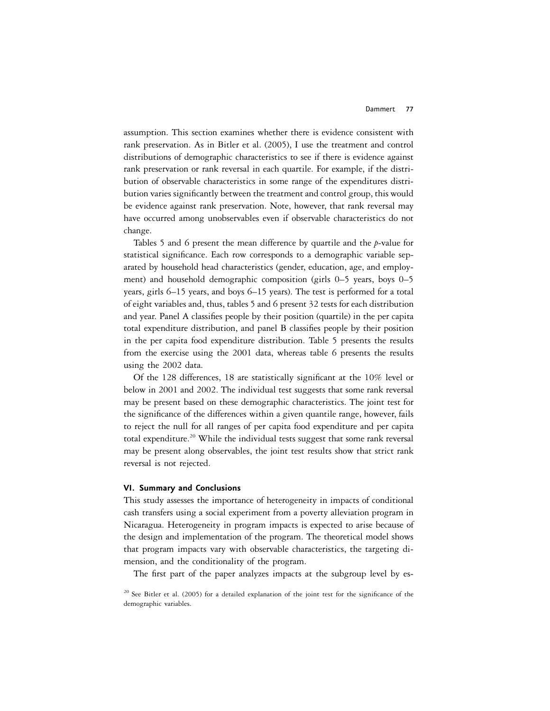assumption. This section examines whether there is evidence consistent with rank preservation. As in Bitler et al. (2005), I use the treatment and control distributions of demographic characteristics to see if there is evidence against rank preservation or rank reversal in each quartile. For example, if the distribution of observable characteristics in some range of the expenditures distribution varies significantly between the treatment and control group, this would be evidence against rank preservation. Note, however, that rank reversal may have occurred among unobservables even if observable characteristics do not change.

Tables 5 and 6 present the mean difference by quartile and the *p*-value for statistical significance. Each row corresponds to a demographic variable separated by household head characteristics (gender, education, age, and employment) and household demographic composition (girls 0–5 years, boys 0–5 years, girls 6–15 years, and boys 6–15 years). The test is performed for a total of eight variables and, thus, tables 5 and 6 present 32 tests for each distribution and year. Panel A classifies people by their position (quartile) in the per capita total expenditure distribution, and panel B classifies people by their position in the per capita food expenditure distribution. Table 5 presents the results from the exercise using the 2001 data, whereas table 6 presents the results using the 2002 data.

Of the 128 differences, 18 are statistically significant at the 10% level or below in 2001 and 2002. The individual test suggests that some rank reversal may be present based on these demographic characteristics. The joint test for the significance of the differences within a given quantile range, however, fails to reject the null for all ranges of per capita food expenditure and per capita total expenditure.<sup>20</sup> While the individual tests suggest that some rank reversal may be present along observables, the joint test results show that strict rank reversal is not rejected.

# **VI. Summary and Conclusions**

This study assesses the importance of heterogeneity in impacts of conditional cash transfers using a social experiment from a poverty alleviation program in Nicaragua. Heterogeneity in program impacts is expected to arise because of the design and implementation of the program. The theoretical model shows that program impacts vary with observable characteristics, the targeting dimension, and the conditionality of the program.

The first part of the paper analyzes impacts at the subgroup level by es-

<sup>&</sup>lt;sup>20</sup> See Bitler et al. (2005) for a detailed explanation of the joint test for the significance of the demographic variables.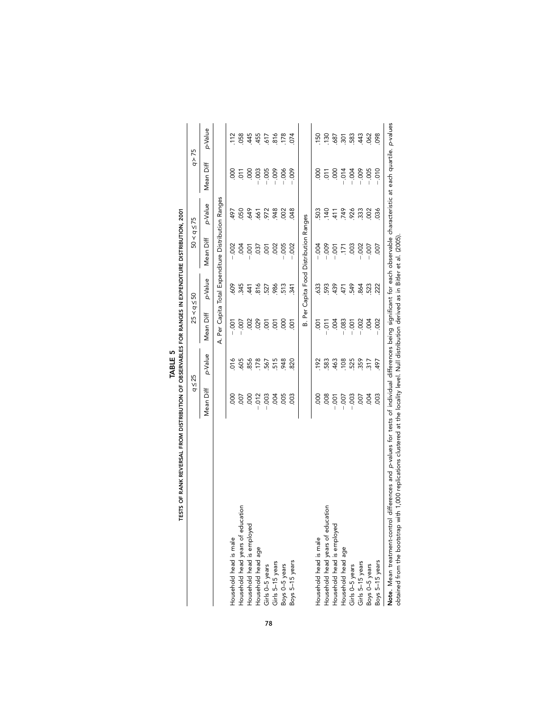|                                                                                                                                                             | $q \leq 25$   |         |                 | $25 < q \le 50$ | $50 < q \le 75$                                     |         | q > 75    |               |
|-------------------------------------------------------------------------------------------------------------------------------------------------------------|---------------|---------|-----------------|-----------------|-----------------------------------------------------|---------|-----------|---------------|
|                                                                                                                                                             | Mean Diff     | p-Value | Mean Diff       | p-Value         | Mean Diff                                           | p-Value | Mean Diff | p-Value       |
|                                                                                                                                                             |               |         |                 |                 | A. Per Capita Total Expenditure Distribution Ranges |         |           |               |
|                                                                                                                                                             | 8             | 016     | $-00$           | 609             | $-002$                                              | 497     | 8<br>co   | 112           |
| Household head is male<br>Household head years of education                                                                                                 | .007          | 605     | $-0.007$        | 345             | 004                                                 | 050     | .011      | 058           |
| Household head is employed                                                                                                                                  | 000.          | 856     | .002            | .441            | $-00$                                               | 649     | .000      | .445          |
| Household head age                                                                                                                                          | .012          | .178    | 029             | .816            | .037                                                | .661    | $-0.003$  | .455          |
| Girls 0–5 years<br>Girls 5–15 years<br>Boys 0–5 years                                                                                                       | $-.003$       | .567    | .001            | .527            | .001                                                | .972    | $-0.005$  | 517           |
|                                                                                                                                                             | 004           | 515     | 000             | 986             | .002                                                | 948     | $-0.009$  | .816          |
|                                                                                                                                                             | 005           | 948     | 000.            | 513             | $-0.005$                                            | 002     | $-0.006$  | .178          |
| Boys 5-15 years                                                                                                                                             | .003          | 820     | Š               | 341             | .002                                                | 048     | $-0.009$  | 074           |
|                                                                                                                                                             |               |         |                 |                 | B. Per Capita Food Distribution Ranges              |         |           |               |
| Household head is male                                                                                                                                      | $\frac{8}{1}$ | .192    | ōο.             | 633             | $-004$                                              | 503     | 8         | 150           |
| Household head years of education                                                                                                                           | 008           | 583     | $\overline{0}$  | 593             | $-009$                                              | .140    | .011      | <b>130</b>    |
| Household head is employed<br>Household head age                                                                                                            | $-001$        | .463    | .004            | .439            | $-0.00$                                             | .411    | 8         | .687          |
|                                                                                                                                                             | $-0.007$      | .108    | .083            | 471             | .171                                                | .749    | .014      | .301          |
| Girls 0-5 years                                                                                                                                             | $-.003$       | 525     | $-0.001$        | 549             | .003                                                | .926    | $-.004$   | .583          |
| Girls 5-15 years                                                                                                                                            | .007          | .359    | $-.002$         | .864            | $-0.002$                                            | 333     | $-0.009$  | .443          |
| Boys 0–5 years<br>Boys 5–15 years                                                                                                                           | .004          | .317    | .004            | 523             | $-0.007$                                            | .002    | $-0.005$  | .062          |
|                                                                                                                                                             | $rac{3}{2}$   | .497    | $\frac{20}{10}$ | 222             | .007                                                | 036     | $-0.010$  | 098           |
| حالسماسم طمحم هاستسماسم ماطمسممطم طمحم بمكريتهم شائع مصدم وكالت المناصر المنافي المتحد معكس مساحيين المجموع المستحكك<br>مماسمه مسلم مساراته المعامل المعامر |               |         |                 |                 |                                                     |         |           | مساحد ومستحدة |

**Note.** Mean treatment-control differences and p-values for tests of individual differences being significant for each observable characteristic at each quartile. p-values<br>obtained from the bootstrap with 1,000 replication Note. Mean treatment-control differences and *p*-values for tests of individual differences being significant for each observable characteristic at each quartile. *p*-values obtained from the bootstrap with 1,000 replications clustered at the locality level. Null distribution derived as in Bitler et al. (2005).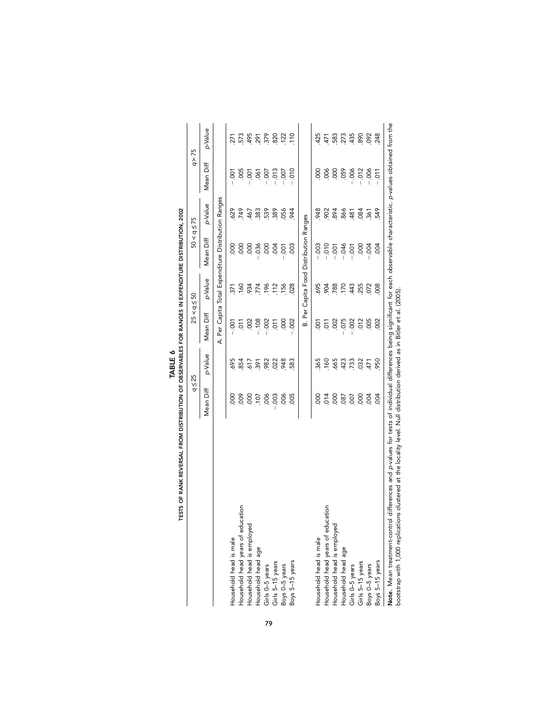|                                                                                                                                                                                                                                                           | $q \leq 25$      |         | $25 < q \le 50$ |         | $50 < q \le 75$                                     |         | q > 75        |         |
|-----------------------------------------------------------------------------------------------------------------------------------------------------------------------------------------------------------------------------------------------------------|------------------|---------|-----------------|---------|-----------------------------------------------------|---------|---------------|---------|
|                                                                                                                                                                                                                                                           | Mean Diff        | p-Value | Mean Diff       | p-Value | Mean Diff                                           | p-Value | Mean Diff     | p-Value |
|                                                                                                                                                                                                                                                           |                  |         |                 |         | A. Per Capita Total Expenditure Distribution Ranges |         |               |         |
| Household head is male                                                                                                                                                                                                                                    | $\overline{000}$ | 695     | 5o.             | 371     | 8                                                   | 629     | ġ             | 271     |
| Household head years of education                                                                                                                                                                                                                         | 009              | 854     | $-11$           | 160     | 000.                                                | 749     | .005          | 573     |
| Household head is employed                                                                                                                                                                                                                                | 000.             | .617    | .002            | 934     | .000                                                | .467    | 500           | .495    |
| Household head age                                                                                                                                                                                                                                        | .107             | 391     | $-108$          | .774    | 036                                                 | .383    | .061          | 291     |
| Girls 0–5 years<br>Girls 5–15 years<br>Boys 0–5 years                                                                                                                                                                                                     | 006              | .982    | $-.002$         | 196     | 000                                                 | 539     | $-0.007$      | .379    |
|                                                                                                                                                                                                                                                           | 003              | 022     | 11              | 112     | .004                                                | 389     | $-.013$       | 820     |
|                                                                                                                                                                                                                                                           | 006              | 948     | .000            | 156     | $000$ .                                             | 056     | $-0.007$      | 122     |
| Boys 5-15 years                                                                                                                                                                                                                                           | $\frac{50}{2}$   | 583     | $\overline{0}$  | .028    | 800                                                 | .944    | $-010$        | 110     |
|                                                                                                                                                                                                                                                           |                  |         |                 |         | B. Per Capita Food Distribution Ranges              |         |               |         |
| Household head is male                                                                                                                                                                                                                                    | 000              | 365     | 5oo.            | 695     | .003                                                | 948     | 800           | 425     |
| Household head years of education                                                                                                                                                                                                                         | 014              | .160    | 110             | 904     | $-010$                                              | 902     | 006           | 471     |
| Household head is employed<br>Household head age                                                                                                                                                                                                          | 000              | 665     | .002            | 788     | $-0.001$                                            | 894     | 000           | .583    |
|                                                                                                                                                                                                                                                           | .087             | .423    | .075            | .170    | $-046$                                              | .866    | .059          | .273    |
| Girls 0-5 years                                                                                                                                                                                                                                           | .007             | .733    | $-0.002$        | .443    | $-0.001$                                            | .481    | $-0.006$      | .435    |
| Girls 5-15 years                                                                                                                                                                                                                                          | 000              | .032    | .012            | .255    | <b>COO</b> .                                        | .084    | $-.012$       | 890     |
| Boys 0-5 years                                                                                                                                                                                                                                            | .004             | 471     | 005             | .072    | $-0.004$                                            | .361    | $-0.006$      | 092     |
| Boys 5-15 years                                                                                                                                                                                                                                           | 004              | 950     | 002             | 008     | 004                                                 | 549     | $\frac{5}{1}$ | 248     |
| rative from the contrate of the contrate of the contrate of the contrate of the contrate of the contrate of the contrate of the contrate of the contrate of the contrate of the contract of the contract of the contract of th<br>Nata Masa tractment com |                  |         |                 |         |                                                     |         |               |         |

| d | החתה וג                                                                                        |
|---|------------------------------------------------------------------------------------------------|
| ļ | TESTS OF RANK REVERSAL FROM DISTRIBUTION OF OBSERVABLES FOR RANGES IN EXPENDITURE DISTRIBUTION |
|   |                                                                                                |

**Note.** Mean treatment-control differences and p-values for tests of individual differences being significant for each observable characteristic. p-values obtained from the<br>bootstrap with 1,000 replications clustered at th Note. Mean treatment-control differences and *p*-values for tests of individual differences being significant for each observable characteristic. *p*-values obtained from the bootstrap with 1,000 replications clustered at the locality level. Null distribution derived as in Bitler et al. (2005).

79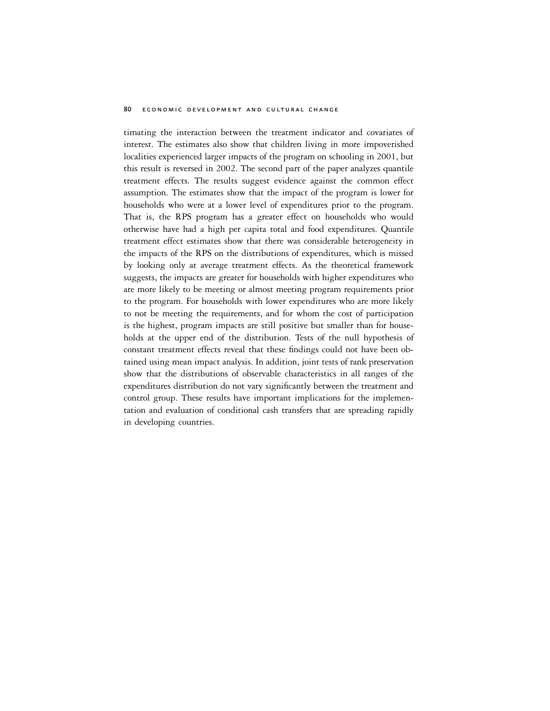timating the interaction between the treatment indicator and covariates of interest. The estimates also show that children living in more impoverished localities experienced larger impacts of the program on schooling in 2001, but this result is reversed in 2002. The second part of the paper analyzes quantile treatment effects. The results suggest evidence against the common effect assumption. The estimates show that the impact of the program is lower for households who were at a lower level of expenditures prior to the program. That is, the RPS program has a greater effect on households who would otherwise have had a high per capita total and food expenditures. Quantile treatment effect estimates show that there was considerable heterogeneity in the impacts of the RPS on the distributions of expenditures, which is missed by looking only at average treatment effects. As the theoretical framework suggests, the impacts are greater for households with higher expenditures who are more likely to be meeting or almost meeting program requirements prior to the program. For households with lower expenditures who are more likely to not be meeting the requirements, and for whom the cost of participation is the highest, program impacts are still positive but smaller than for households at the upper end of the distribution. Tests of the null hypothesis of constant treatment effects reveal that these findings could not have been obtained using mean impact analysis. In addition, joint tests of rank preservation show that the distributions of observable characteristics in all ranges of the expenditures distribution do not vary significantly between the treatment and control group. These results have important implications for the implementation and evaluation of conditional cash transfers that are spreading rapidly in developing countries.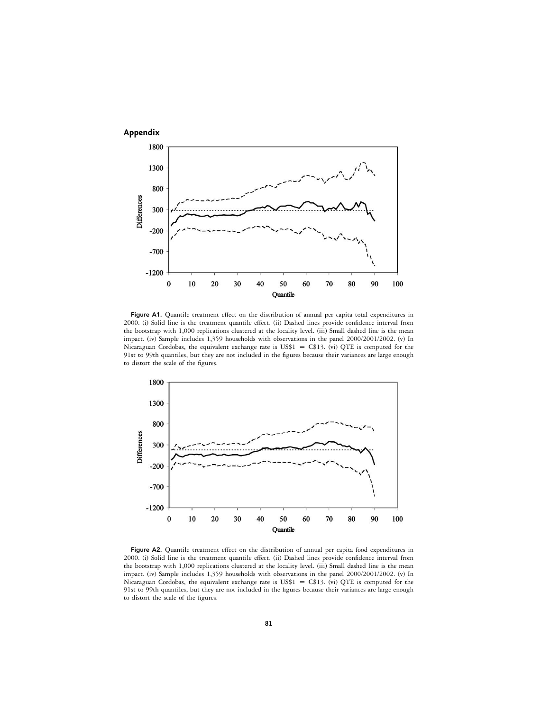

Figure A1. Quantile treatment effect on the distribution of annual per capita total expenditures in 2000. (i) Solid line is the treatment quantile effect. (ii) Dashed lines provide confidence interval from the bootstrap with 1,000 replications clustered at the locality level. (iii) Small dashed line is the mean impact. (iv) Sample includes 1,359 households with observations in the panel 2000/2001/2002. (v) In Nicaraguan Cordobas, the equivalent exchange rate is US\$1 = C\$13. (vi) QTE is computed for the 91st to 99th quantiles, but they are not included in the figures because their variances are large enough to distort the scale of the figures.



Figure A2. Quantile treatment effect on the distribution of annual per capita food expenditures in 2000. (i) Solid line is the treatment quantile effect. (ii) Dashed lines provide confidence interval from the bootstrap with 1,000 replications clustered at the locality level. (iii) Small dashed line is the mean impact. (iv) Sample includes 1,359 households with observations in the panel 2000/2001/2002. (v) In Nicaraguan Cordobas, the equivalent exchange rate is US\$1 = C\$13. (vi) QTE is computed for the 91st to 99th quantiles, but they are not included in the figures because their variances are large enough to distort the scale of the figures.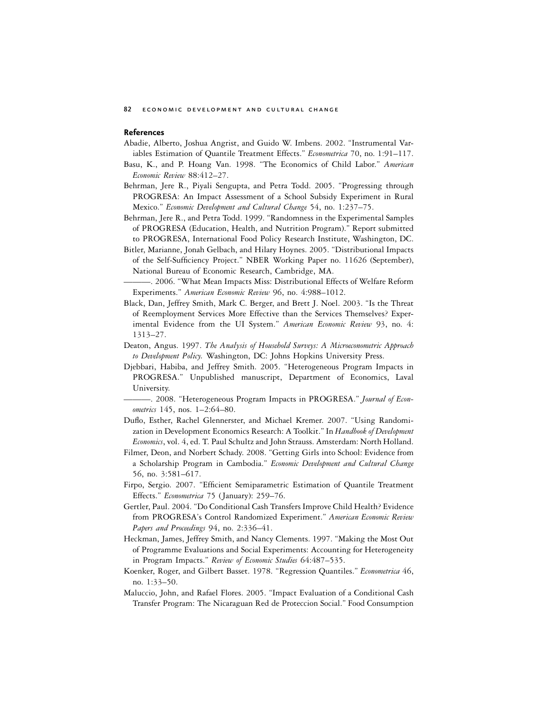### **References**

- Abadie, Alberto, Joshua Angrist, and Guido W. Imbens. 2002. "Instrumental Variables Estimation of Quantile Treatment Effects." *Econometrica* 70, no. 1:91–117.
- Basu, K., and P. Hoang Van. 1998. "The Economics of Child Labor." *American Economic Review* 88:412–27.
- Behrman, Jere R., Piyali Sengupta, and Petra Todd. 2005. "Progressing through PROGRESA: An Impact Assessment of a School Subsidy Experiment in Rural Mexico." *Economic Development and Cultural Change* 54, no. 1:237–75.
- Behrman, Jere R., and Petra Todd. 1999. "Randomness in the Experimental Samples of PROGRESA (Education, Health, and Nutrition Program)." Report submitted to PROGRESA, International Food Policy Research Institute, Washington, DC.
- Bitler, Marianne, Jonah Gelbach, and Hilary Hoynes. 2005. "Distributional Impacts of the Self-Sufficiency Project." NBER Working Paper no. 11626 (September), National Bureau of Economic Research, Cambridge, MA.
- -. 2006. "What Mean Impacts Miss: Distributional Effects of Welfare Reform Experiments." *American Economic Review* 96, no. 4:988–1012.
- Black, Dan, Jeffrey Smith, Mark C. Berger, and Brett J. Noel. 2003. "Is the Threat of Reemployment Services More Effective than the Services Themselves? Experimental Evidence from the UI System." *American Economic Review* 93, no. 4: 1313–27.
- Deaton, Angus. 1997. *The Analysis of Household Surveys: A Microeconometric Approach to Development Policy.* Washington, DC: Johns Hopkins University Press.
- Djebbari, Habiba, and Jeffrey Smith. 2005. "Heterogeneous Program Impacts in PROGRESA." Unpublished manuscript, Department of Economics, Laval University.
- -. 2008. "Heterogeneous Program Impacts in PROGRESA." *Journal of Econometrics* 145, nos. 1–2:64–80.
- Duflo, Esther, Rachel Glennerster, and Michael Kremer. 2007. "Using Randomization in Development Economics Research: A Toolkit." In *Handbook of Development Economics*, vol. 4, ed. T. Paul Schultz and John Strauss. Amsterdam: North Holland.
- Filmer, Deon, and Norbert Schady. 2008. "Getting Girls into School: Evidence from a Scholarship Program in Cambodia." *Economic Development and Cultural Change* 56, no. 3:581–617.
- Firpo, Sergio. 2007. "Efficient Semiparametric Estimation of Quantile Treatment Effects." *Econometrica* 75 (January): 259–76.
- Gertler, Paul. 2004. "Do Conditional Cash Transfers Improve Child Health? Evidence from PROGRESA's Control Randomized Experiment." *American Economic Review Papers and Proceedings* 94, no. 2:336–41.
- Heckman, James, Jeffrey Smith, and Nancy Clements. 1997. "Making the Most Out of Programme Evaluations and Social Experiments: Accounting for Heterogeneity in Program Impacts." *Review of Economic Studies* 64:487–535.
- Koenker, Roger, and Gilbert Basset. 1978. "Regression Quantiles." *Econometrica* 46, no. 1:33–50.
- Maluccio, John, and Rafael Flores. 2005. "Impact Evaluation of a Conditional Cash Transfer Program: The Nicaraguan Red de Proteccion Social." Food Consumption